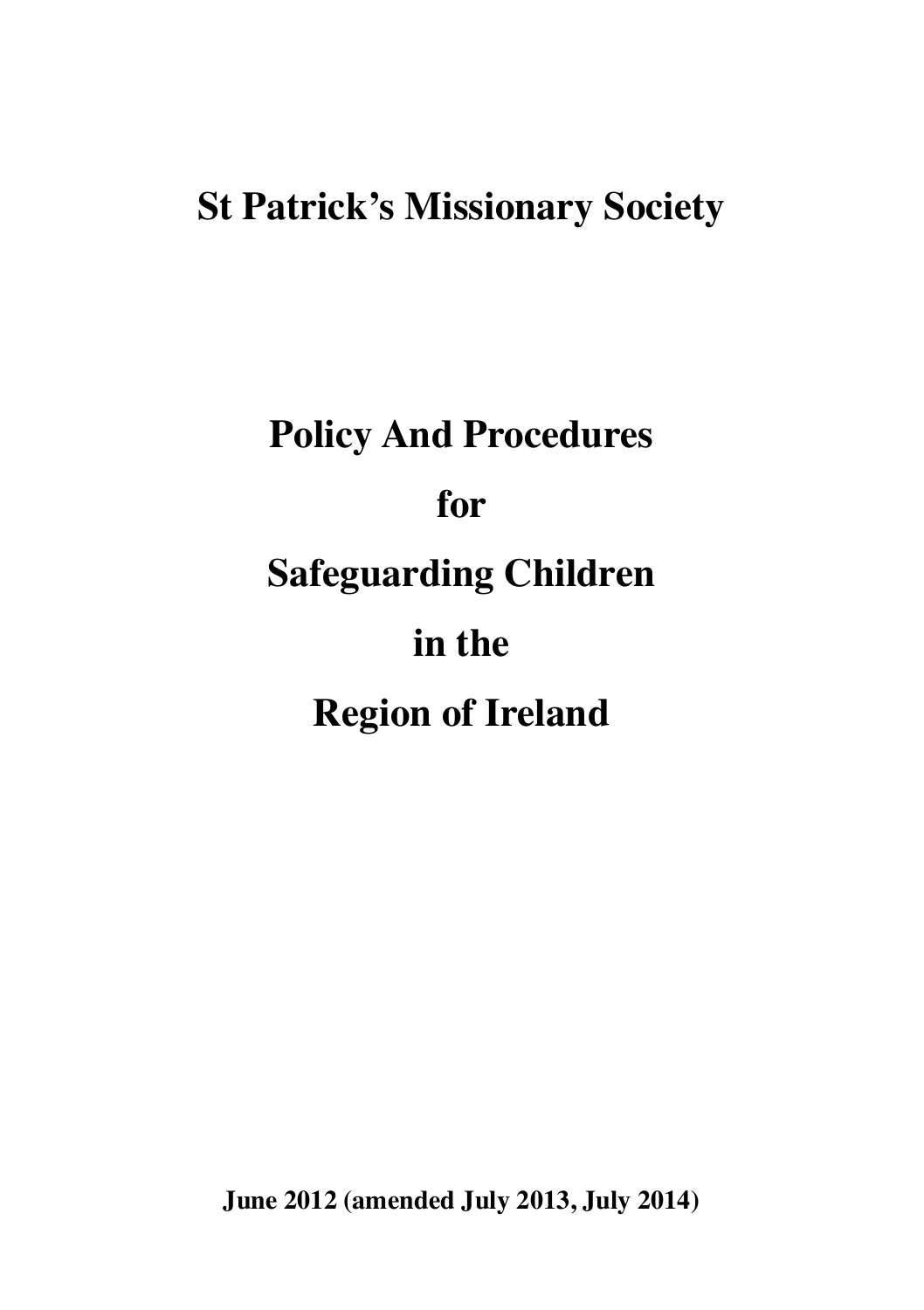# **St Patrick's Missionary Society**

# **Policy And Procedures for Safeguarding Children in the Region of Ireland**

**June 2012 (amended July 2013, July 2014)**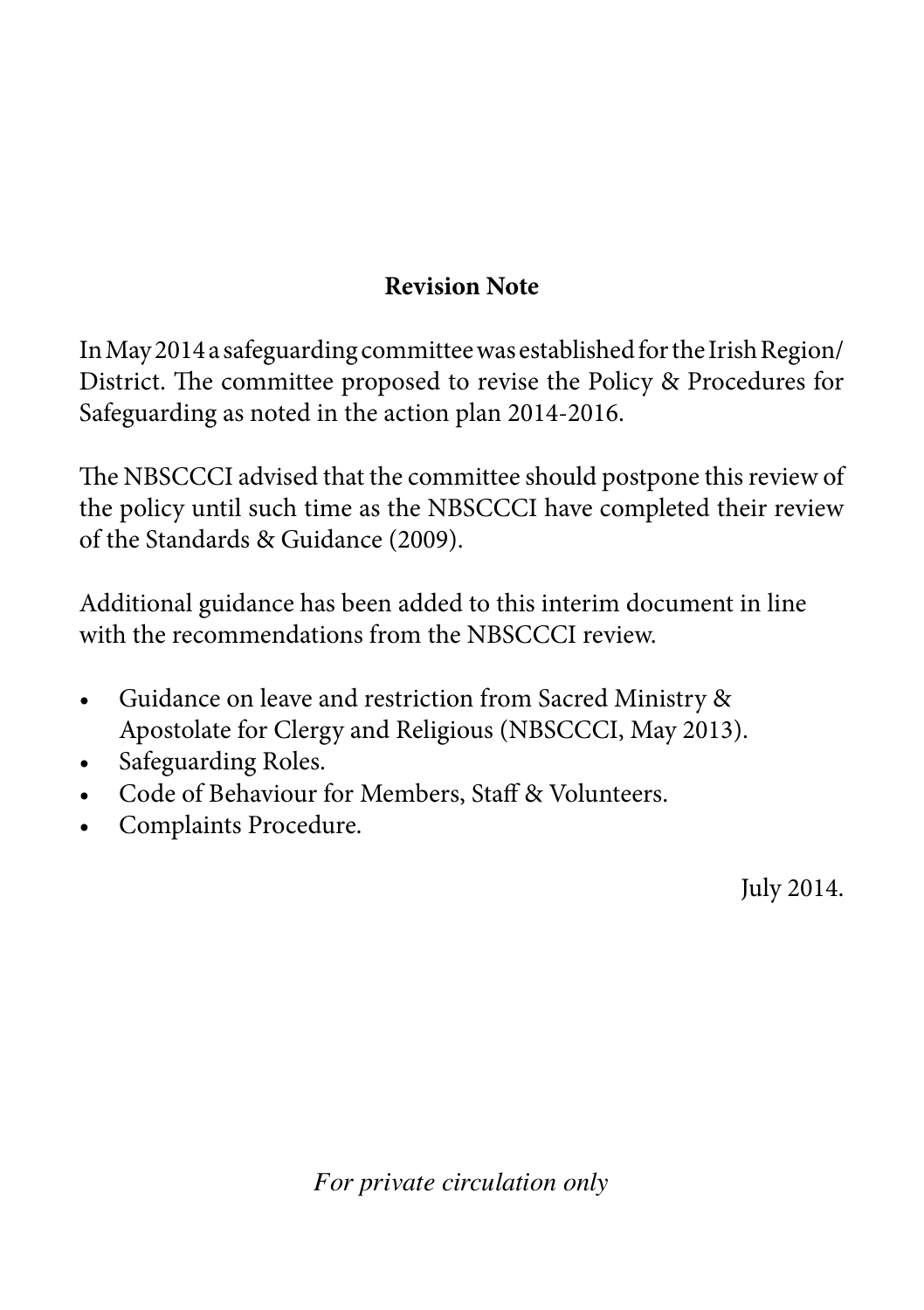## **Revision Note**

In May 2014 a safeguarding committee was established for the Irish Region/ District. The committee proposed to revise the Policy & Procedures for Safeguarding as noted in the action plan 2014-2016.

The NBSCCCI advised that the committee should postpone this review of the policy until such time as the NBSCCCI have completed their review of the Standards & Guidance (2009).

Additional guidance has been added to this interim document in line with the recommendations from the NBSCCCI review.

- Guidance on leave and restriction from Sacred Ministry & Apostolate for Clergy and Religious (NBSCCCI, May 2013).
- Safeguarding Roles.
- Code of Behaviour for Members, Staff & Volunteers.
- Complaints Procedure.

July 2014.

*For private circulation only*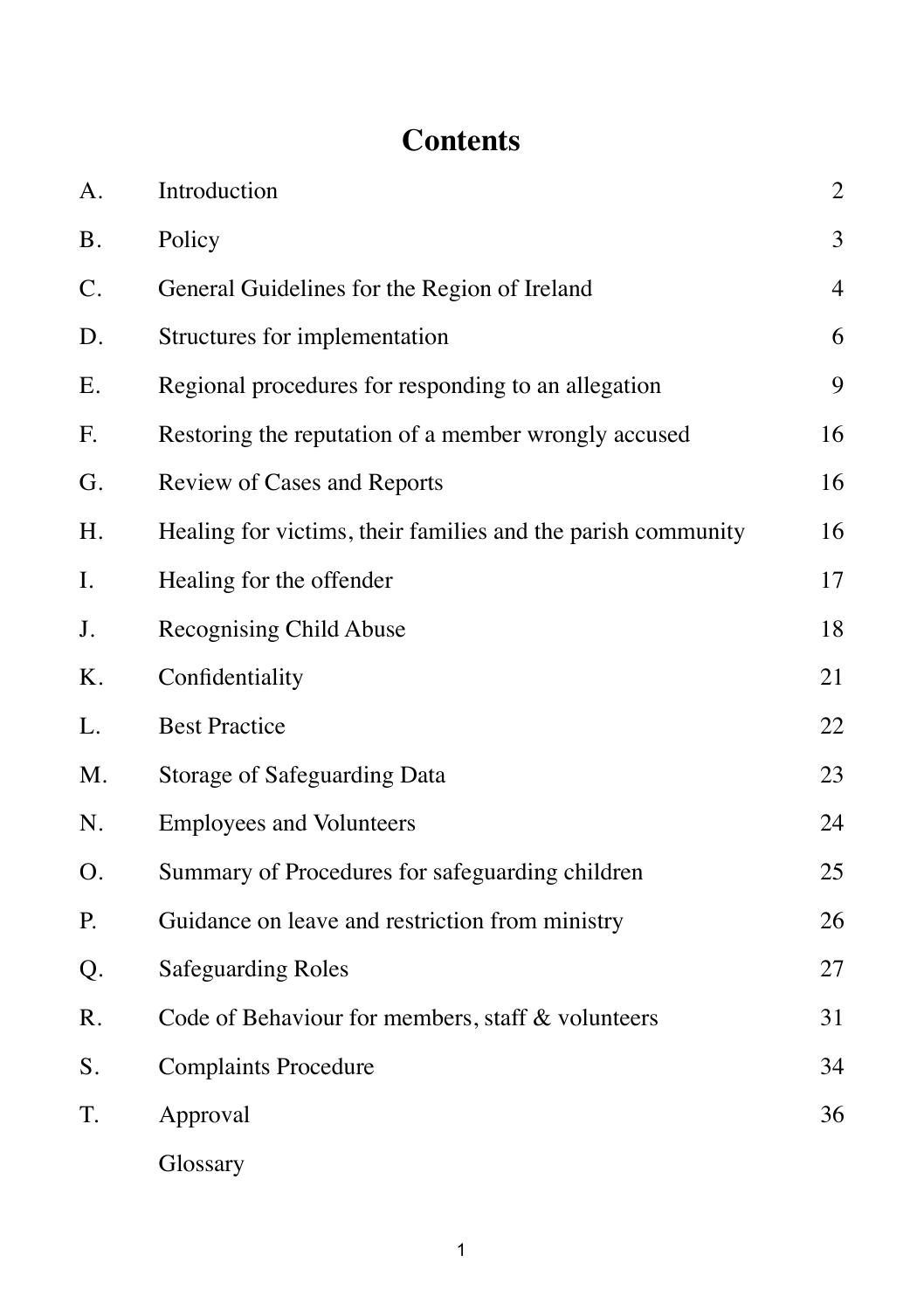# **Contents**

| A.        | Introduction                                                 | $\overline{2}$ |
|-----------|--------------------------------------------------------------|----------------|
| <b>B.</b> | Policy                                                       | 3              |
| C.        | General Guidelines for the Region of Ireland                 | $\overline{4}$ |
| D.        | Structures for implementation                                | 6              |
| Ε.        | Regional procedures for responding to an allegation          | 9              |
| F.        | Restoring the reputation of a member wrongly accused         | 16             |
| G.        | Review of Cases and Reports                                  | 16             |
| H.        | Healing for victims, their families and the parish community | 16             |
| I.        | Healing for the offender                                     | 17             |
| J.        | Recognising Child Abuse                                      | 18             |
| K.        | Confidentiality                                              | 21             |
| L.        | <b>Best Practice</b>                                         | 22             |
| M.        | Storage of Safeguarding Data                                 | 23             |
| N.        | <b>Employees and Volunteers</b>                              | 24             |
| O.        | Summary of Procedures for safeguarding children              | 25             |
| P.        | Guidance on leave and restriction from ministry              | 26             |
| Q.        | <b>Safeguarding Roles</b>                                    | 27             |
| R.        | Code of Behaviour for members, staff & volunteers            | 31             |
| S.        | <b>Complaints Procedure</b>                                  | 34             |
| T.        | Approval                                                     | 36             |
|           | Glossary                                                     |                |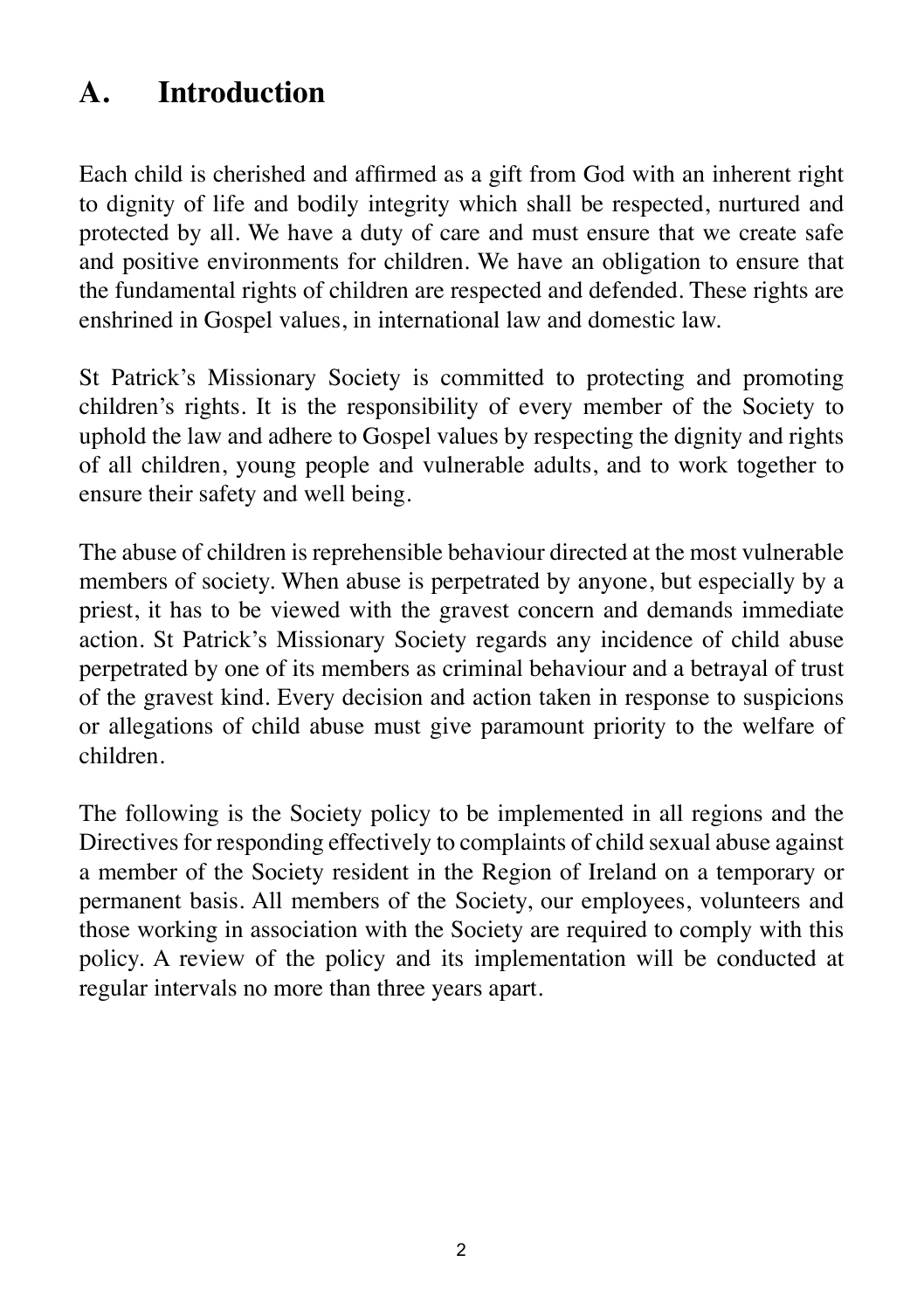# **A. Introduction**

Each child is cherished and affirmed as a gift from God with an inherent right to dignity of life and bodily integrity which shall be respected, nurtured and protected by all. We have a duty of care and must ensure that we create safe and positive environments for children. We have an obligation to ensure that the fundamental rights of children are respected and defended. These rights are enshrined in Gospel values, in international law and domestic law.

St Patrick's Missionary Society is committed to protecting and promoting children's rights. It is the responsibility of every member of the Society to uphold the law and adhere to Gospel values by respecting the dignity and rights of all children, young people and vulnerable adults, and to work together to ensure their safety and well being.

The abuse of children is reprehensible behaviour directed at the most vulnerable members of society. When abuse is perpetrated by anyone, but especially by a priest, it has to be viewed with the gravest concern and demands immediate action. St Patrick's Missionary Society regards any incidence of child abuse perpetrated by one of its members as criminal behaviour and a betrayal of trust of the gravest kind. Every decision and action taken in response to suspicions or allegations of child abuse must give paramount priority to the welfare of children.

The following is the Society policy to be implemented in all regions and the Directives for responding effectively to complaints of child sexual abuse against a member of the Society resident in the Region of Ireland on a temporary or permanent basis. All members of the Society, our employees, volunteers and those working in association with the Society are required to comply with this policy. A review of the policy and its implementation will be conducted at regular intervals no more than three years apart.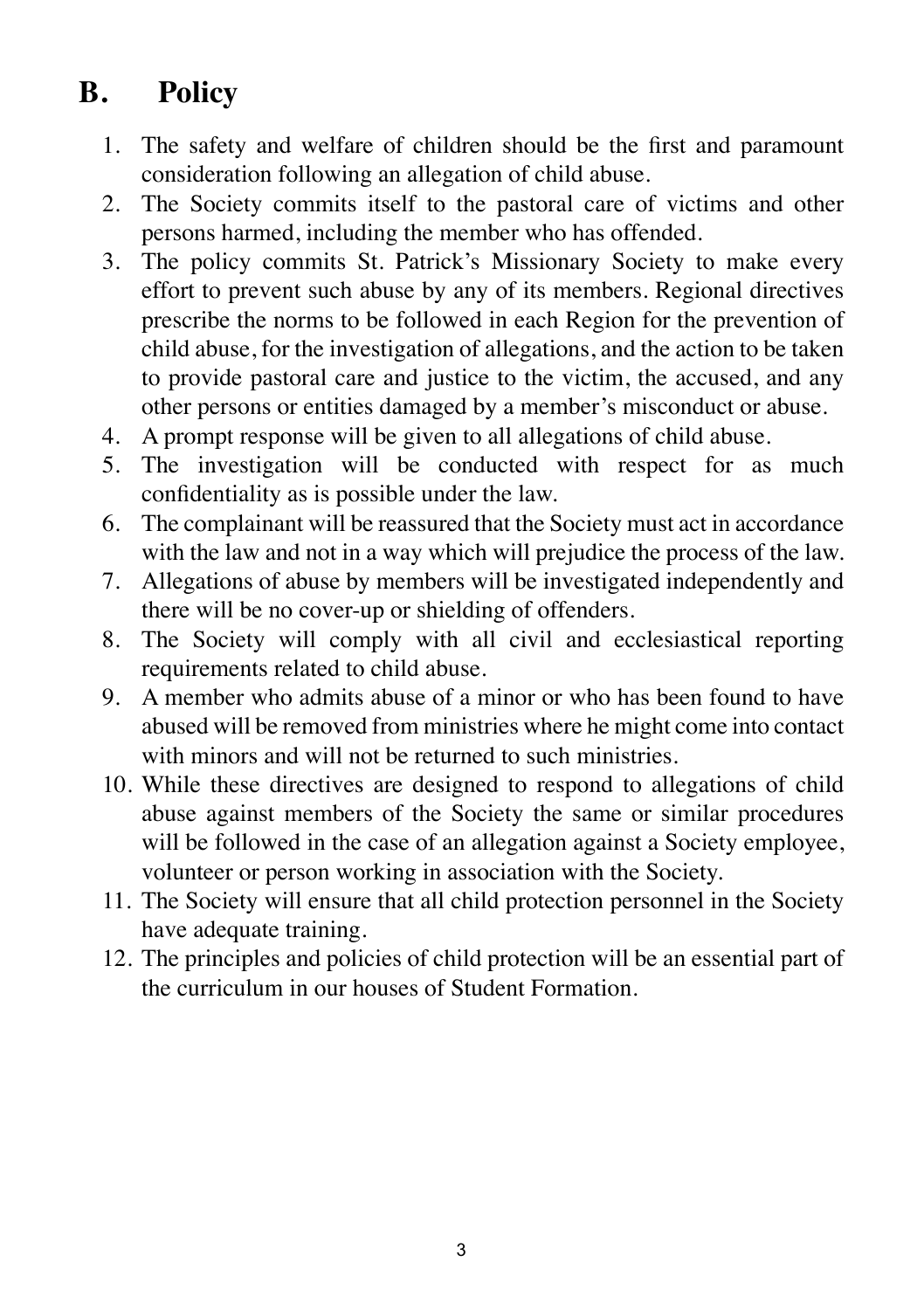# **B. Policy**

- 1. The safety and welfare of children should be the first and paramount consideration following an allegation of child abuse.
- 2. The Society commits itself to the pastoral care of victims and other persons harmed, including the member who has offended.
- 3. The policy commits St. Patrick's Missionary Society to make every effort to prevent such abuse by any of its members. Regional directives prescribe the norms to be followed in each Region for the prevention of child abuse, for the investigation of allegations, and the action to be taken to provide pastoral care and justice to the victim, the accused, and any other persons or entities damaged by a member's misconduct or abuse.
- 4. A prompt response will be given to all allegations of child abuse.
- 5. The investigation will be conducted with respect for as much confidentiality as is possible under the law.
- 6. The complainant will be reassured that the Society must act in accordance with the law and not in a way which will prejudice the process of the law.
- 7. Allegations of abuse by members will be investigated independently and there will be no cover-up or shielding of offenders.
- 8. The Society will comply with all civil and ecclesiastical reporting requirements related to child abuse.
- 9. A member who admits abuse of a minor or who has been found to have abused will be removed from ministries where he might come into contact with minors and will not be returned to such ministries.
- 10. While these directives are designed to respond to allegations of child abuse against members of the Society the same or similar procedures will be followed in the case of an allegation against a Society employee, volunteer or person working in association with the Society.
- 11. The Society will ensure that all child protection personnel in the Society have adequate training.
- 12. The principles and policies of child protection will be an essential part of the curriculum in our houses of Student Formation.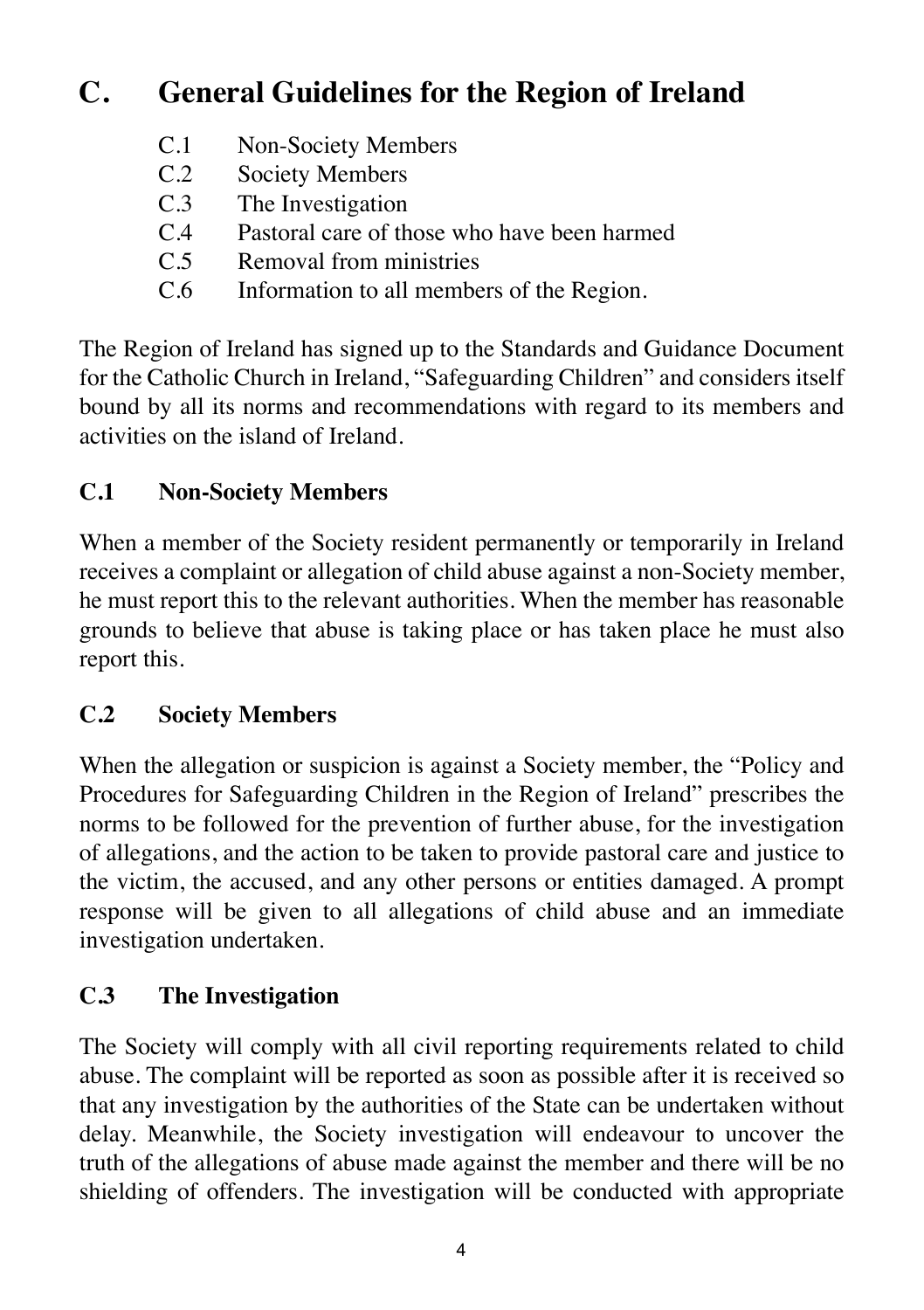# **C. General Guidelines for the Region of Ireland**

- C.1 Non-Society Members<br>C.2 Society Members
- C.2 Society Members<br>C.3 The Investigation
- The Investigation
- C.4 Pastoral care of those who have been harmed<br> $C<sub>5</sub>$  Removal from ministries
- C.5 Removal from ministries<br>C.6 Information to all member
- Information to all members of the Region.

The Region of Ireland has signed up to the Standards and Guidance Document for the Catholic Church in Ireland, "Safeguarding Children" and considers itself bound by all its norms and recommendations with regard to its members and activities on the island of Ireland.

#### **C.1 Non-Society Members**

When a member of the Society resident permanently or temporarily in Ireland receives a complaint or allegation of child abuse against a non-Society member, he must report this to the relevant authorities. When the member has reasonable grounds to believe that abuse is taking place or has taken place he must also report this.

#### **C.2 Society Members**

When the allegation or suspicion is against a Society member, the "Policy and Procedures for Safeguarding Children in the Region of Ireland" prescribes the norms to be followed for the prevention of further abuse, for the investigation of allegations, and the action to be taken to provide pastoral care and justice to the victim, the accused, and any other persons or entities damaged. A prompt response will be given to all allegations of child abuse and an immediate investigation undertaken.

#### **C.3 The Investigation**

The Society will comply with all civil reporting requirements related to child abuse. The complaint will be reported as soon as possible after it is received so that any investigation by the authorities of the State can be undertaken without delay. Meanwhile, the Society investigation will endeavour to uncover the truth of the allegations of abuse made against the member and there will be no shielding of offenders. The investigation will be conducted with appropriate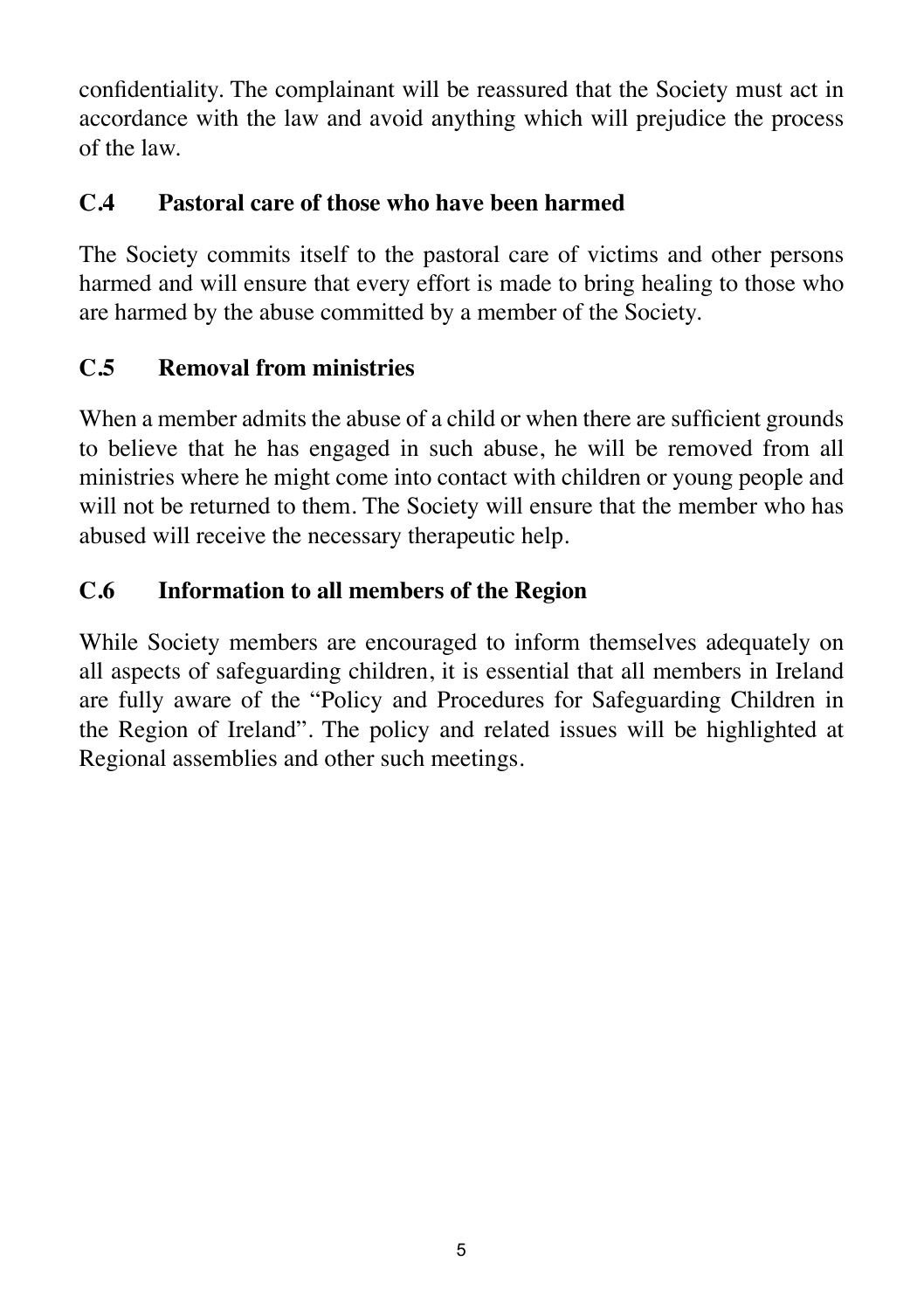confidentiality. The complainant will be reassured that the Society must act in accordance with the law and avoid anything which will prejudice the process of the law.

#### **C.4 Pastoral care of those who have been harmed**

The Society commits itself to the pastoral care of victims and other persons harmed and will ensure that every effort is made to bring healing to those who are harmed by the abuse committed by a member of the Society.

#### **C.5 Removal from ministries**

When a member admits the abuse of a child or when there are sufficient grounds to believe that he has engaged in such abuse, he will be removed from all ministries where he might come into contact with children or young people and will not be returned to them. The Society will ensure that the member who has abused will receive the necessary therapeutic help.

#### **C.6 Information to all members of the Region**

While Society members are encouraged to inform themselves adequately on all aspects of safeguarding children, it is essential that all members in Ireland are fully aware of the "Policy and Procedures for Safeguarding Children in the Region of Ireland". The policy and related issues will be highlighted at Regional assemblies and other such meetings.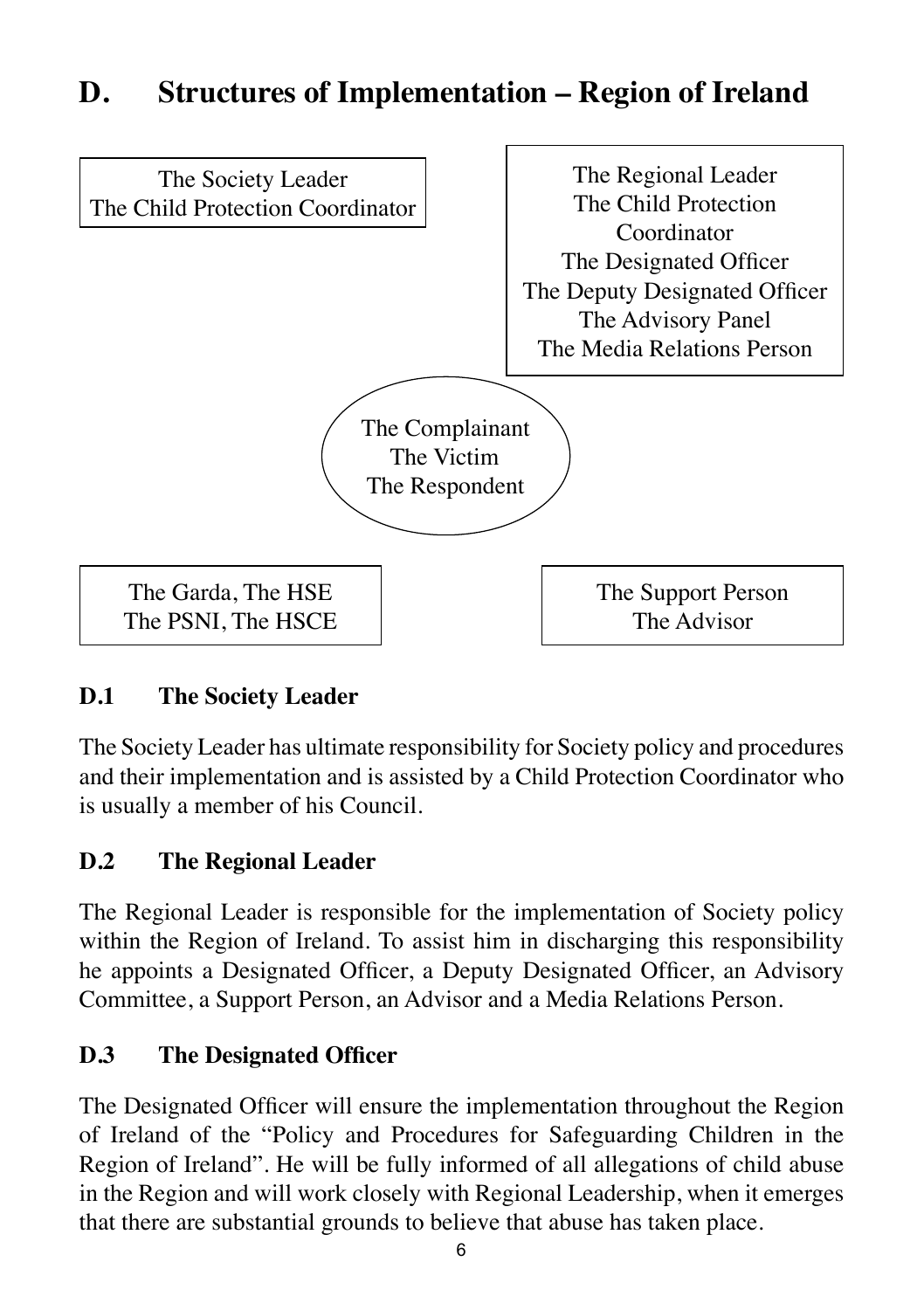# **D. Structures of Implementation – Region of Ireland**



#### **D.1 The Society Leader**

The Society Leader has ultimate responsibility for Society policy and procedures and their implementation and is assisted by a Child Protection Coordinator who is usually a member of his Council.

#### **D.2 The Regional Leader**

The Regional Leader is responsible for the implementation of Society policy within the Region of Ireland. To assist him in discharging this responsibility he appoints a Designated Officer, a Deputy Designated Officer, an Advisory Committee, a Support Person, an Advisor and a Media Relations Person.

#### **D.3 The Designated Officer**

The Designated Officer will ensure the implementation throughout the Region of Ireland of the "Policy and Procedures for Safeguarding Children in the Region of Ireland". He will be fully informed of all allegations of child abuse in the Region and will work closely with Regional Leadership, when it emerges that there are substantial grounds to believe that abuse has taken place.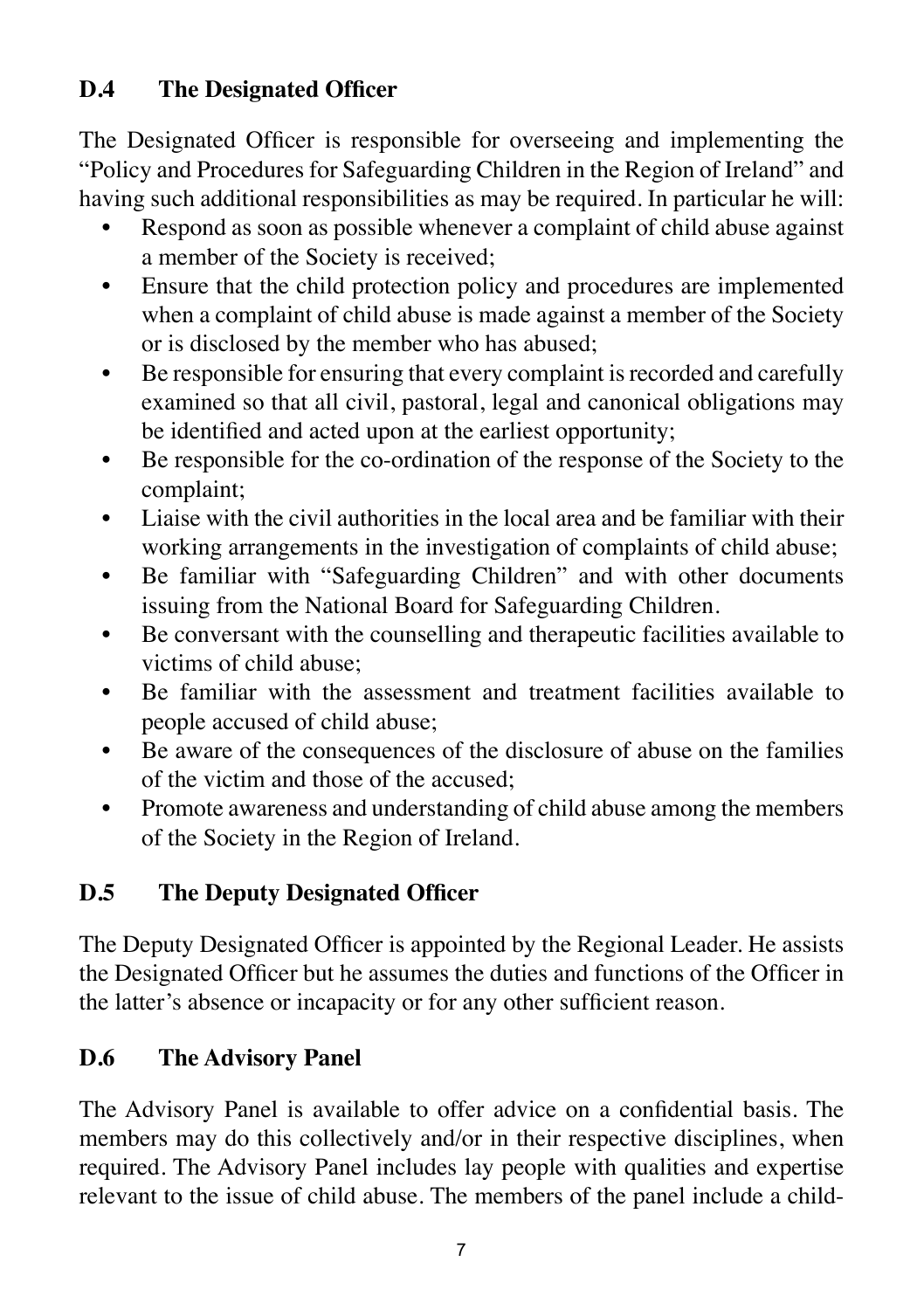#### **D.4 The Designated Officer**

The Designated Officer is responsible for overseeing and implementing the "Policy and Procedures for Safeguarding Children in the Region of Ireland" and having such additional responsibilities as may be required. In particular he will:

- Respond as soon as possible whenever a complaint of child abuse against a member of the Society is received;
- Ensure that the child protection policy and procedures are implemented when a complaint of child abuse is made against a member of the Society or is disclosed by the member who has abused;
- Be responsible for ensuring that every complaint is recorded and carefully examined so that all civil, pastoral, legal and canonical obligations may be identified and acted upon at the earliest opportunity;
- Be responsible for the co-ordination of the response of the Society to the complaint;
- Liaise with the civil authorities in the local area and be familiar with their working arrangements in the investigation of complaints of child abuse;
- Be familiar with "Safeguarding Children" and with other documents issuing from the National Board for Safeguarding Children.
- Be conversant with the counselling and therapeutic facilities available to victims of child abuse;
- Be familiar with the assessment and treatment facilities available to people accused of child abuse;
- Be aware of the consequences of the disclosure of abuse on the families of the victim and those of the accused;
- Promote awareness and understanding of child abuse among the members of the Society in the Region of Ireland.

#### **D.5 The Deputy Designated Officer**

The Deputy Designated Officer is appointed by the Regional Leader. He assists the Designated Officer but he assumes the duties and functions of the Officer in the latter's absence or incapacity or for any other sufficient reason.

#### **D.6 The Advisory Panel**

The Advisory Panel is available to offer advice on a confidential basis. The members may do this collectively and/or in their respective disciplines, when required. The Advisory Panel includes lay people with qualities and expertise relevant to the issue of child abuse. The members of the panel include a child-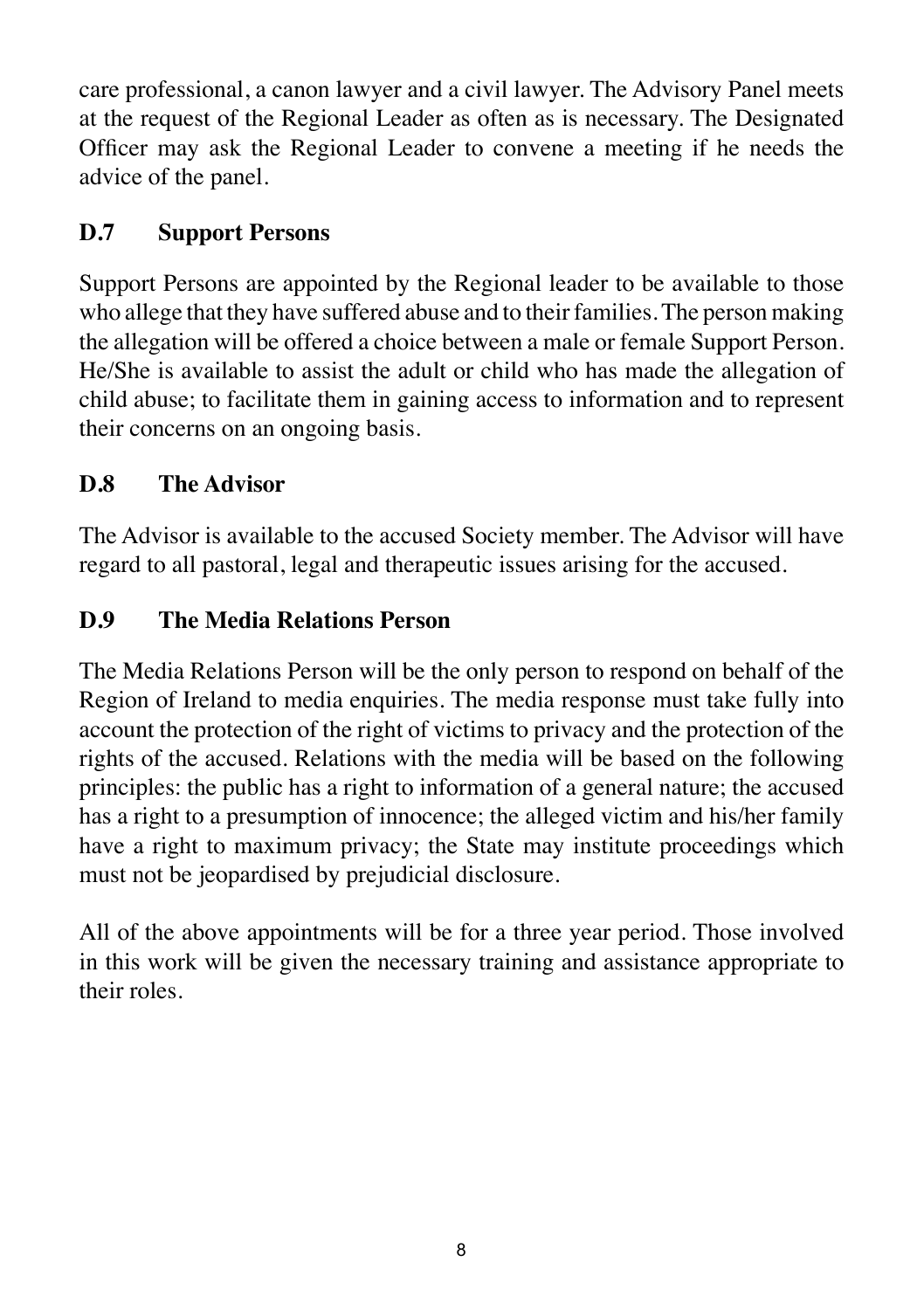care professional, a canon lawyer and a civil lawyer. The Advisory Panel meets at the request of the Regional Leader as often as is necessary. The Designated Officer may ask the Regional Leader to convene a meeting if he needs the advice of the panel.

#### **D.7 Support Persons**

Support Persons are appointed by the Regional leader to be available to those who allege that they have suffered abuse and to their families. The person making the allegation will be offered a choice between a male or female Support Person. He/She is available to assist the adult or child who has made the allegation of child abuse; to facilitate them in gaining access to information and to represent their concerns on an ongoing basis.

#### **D.8 The Advisor**

The Advisor is available to the accused Society member. The Advisor will have regard to all pastoral, legal and therapeutic issues arising for the accused.

#### **D.9 The Media Relations Person**

The Media Relations Person will be the only person to respond on behalf of the Region of Ireland to media enquiries. The media response must take fully into account the protection of the right of victims to privacy and the protection of the rights of the accused. Relations with the media will be based on the following principles: the public has a right to information of a general nature; the accused has a right to a presumption of innocence; the alleged victim and his/her family have a right to maximum privacy; the State may institute proceedings which must not be jeopardised by prejudicial disclosure.

All of the above appointments will be for a three year period. Those involved in this work will be given the necessary training and assistance appropriate to their roles.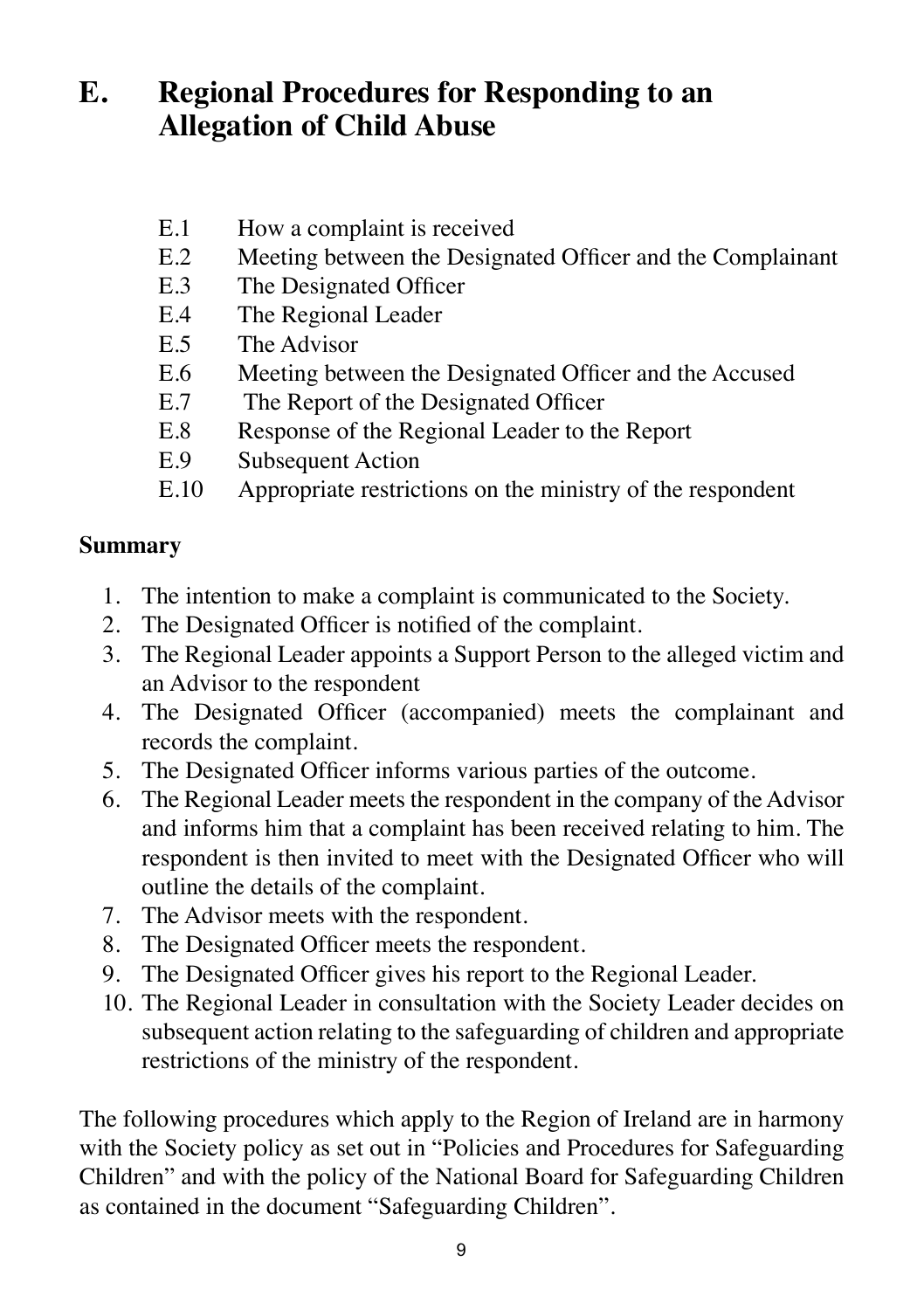# **E. Regional Procedures for Responding to an Allegation of Child Abuse**

- E.1 How a complaint is received
- E.2 Meeting between the Designated Officer and the Complainant<br>E.3 The Designated Officer
- The Designated Officer
- E.4 The Regional Leader<br>E.5 The Advisor
- The Advisor
- E.6 Meeting between the Designated Officer and the Accused
- E.7 The Report of the Designated Officer
- E.8 Response of the Regional Leader to the Report
- E.9 Subsequent Action<br>E.10 Appropriate restrict
- Appropriate restrictions on the ministry of the respondent

#### **Summary**

- 1. The intention to make a complaint is communicated to the Society.
- 2. The Designated Officer is notified of the complaint.
- 3. The Regional Leader appoints a Support Person to the alleged victim and an Advisor to the respondent
- 4. The Designated Officer (accompanied) meets the complainant and records the complaint.
- 5. The Designated Officer informs various parties of the outcome.
- 6. The Regional Leader meets the respondent in the company of the Advisor and informs him that a complaint has been received relating to him. The respondent is then invited to meet with the Designated Officer who will outline the details of the complaint.
- 7. The Advisor meets with the respondent.
- 8. The Designated Officer meets the respondent.
- 9. The Designated Officer gives his report to the Regional Leader.
- 10. The Regional Leader in consultation with the Society Leader decides on subsequent action relating to the safeguarding of children and appropriate restrictions of the ministry of the respondent.

The following procedures which apply to the Region of Ireland are in harmony with the Society policy as set out in "Policies and Procedures for Safeguarding Children" and with the policy of the National Board for Safeguarding Children as contained in the document "Safeguarding Children".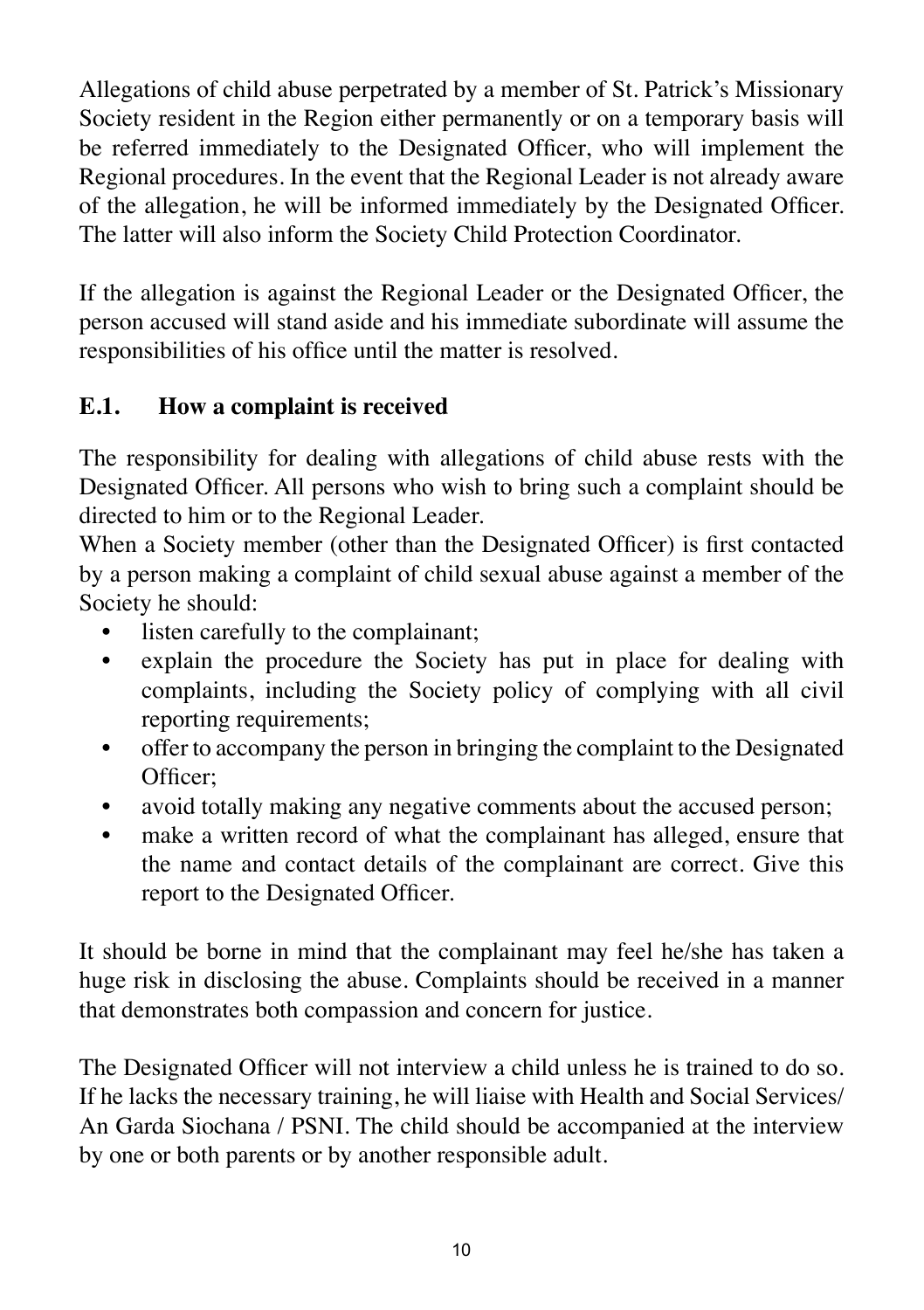Allegations of child abuse perpetrated by a member of St. Patrick's Missionary Society resident in the Region either permanently or on a temporary basis will be referred immediately to the Designated Officer, who will implement the Regional procedures. In the event that the Regional Leader is not already aware of the allegation, he will be informed immediately by the Designated Officer. The latter will also inform the Society Child Protection Coordinator.

If the allegation is against the Regional Leader or the Designated Officer, the person accused will stand aside and his immediate subordinate will assume the responsibilities of his office until the matter is resolved.

#### **E.1. How a complaint is received**

The responsibility for dealing with allegations of child abuse rests with the Designated Officer. All persons who wish to bring such a complaint should be directed to him or to the Regional Leader.

When a Society member (other than the Designated Officer) is first contacted by a person making a complaint of child sexual abuse against a member of the Society he should:

- listen carefully to the complainant;
- explain the procedure the Society has put in place for dealing with complaints, including the Society policy of complying with all civil reporting requirements;
- offer to accompany the person in bringing the complaint to the Designated Officer;
- avoid totally making any negative comments about the accused person;
- make a written record of what the complainant has alleged, ensure that the name and contact details of the complainant are correct. Give this report to the Designated Officer.

It should be borne in mind that the complainant may feel he/she has taken a huge risk in disclosing the abuse. Complaints should be received in a manner that demonstrates both compassion and concern for justice.

The Designated Officer will not interview a child unless he is trained to do so. If he lacks the necessary training, he will liaise with Health and Social Services/ An Garda Siochana / PSNI. The child should be accompanied at the interview by one or both parents or by another responsible adult.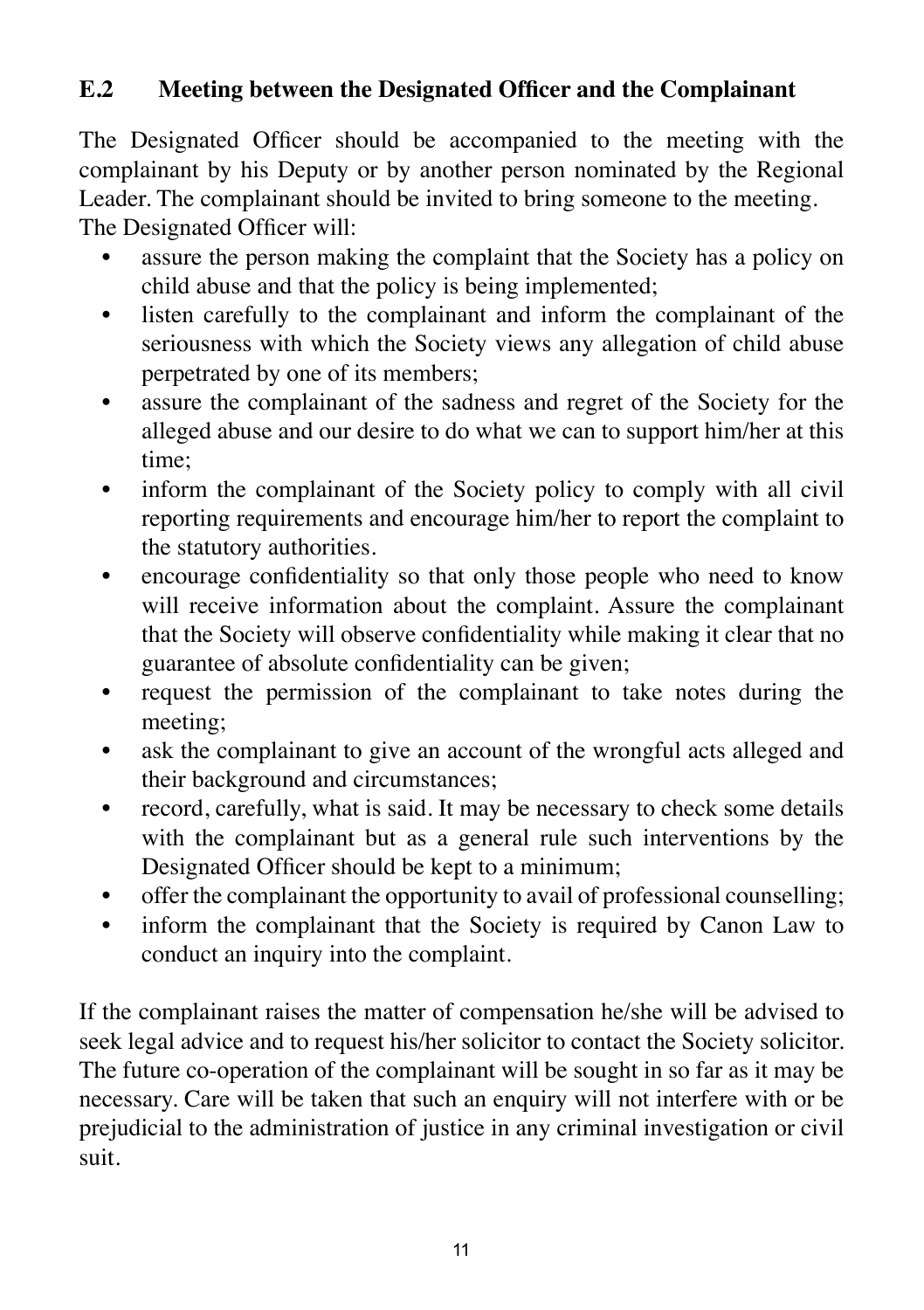#### **E.2 Meeting between the Designated Officer and the Complainant**

The Designated Officer should be accompanied to the meeting with the complainant by his Deputy or by another person nominated by the Regional Leader. The complainant should be invited to bring someone to the meeting. The Designated Officer will:

- assure the person making the complaint that the Society has a policy on child abuse and that the policy is being implemented;
- listen carefully to the complainant and inform the complainant of the seriousness with which the Society views any allegation of child abuse perpetrated by one of its members;
- assure the complainant of the sadness and regret of the Society for the alleged abuse and our desire to do what we can to support him/her at this time;
- inform the complainant of the Society policy to comply with all civil reporting requirements and encourage him/her to report the complaint to the statutory authorities.
- encourage confidentiality so that only those people who need to know will receive information about the complaint. Assure the complainant that the Society will observe confidentiality while making it clear that no guarantee of absolute confidentiality can be given;
- request the permission of the complainant to take notes during the meeting;
- ask the complainant to give an account of the wrongful acts alleged and their background and circumstances;
- record, carefully, what is said. It may be necessary to check some details with the complainant but as a general rule such interventions by the Designated Officer should be kept to a minimum;
- offer the complainant the opportunity to avail of professional counselling;
- inform the complainant that the Society is required by Canon Law to conduct an inquiry into the complaint.

If the complainant raises the matter of compensation he/she will be advised to seek legal advice and to request his/her solicitor to contact the Society solicitor. The future co-operation of the complainant will be sought in so far as it may be necessary. Care will be taken that such an enquiry will not interfere with or be prejudicial to the administration of justice in any criminal investigation or civil suit.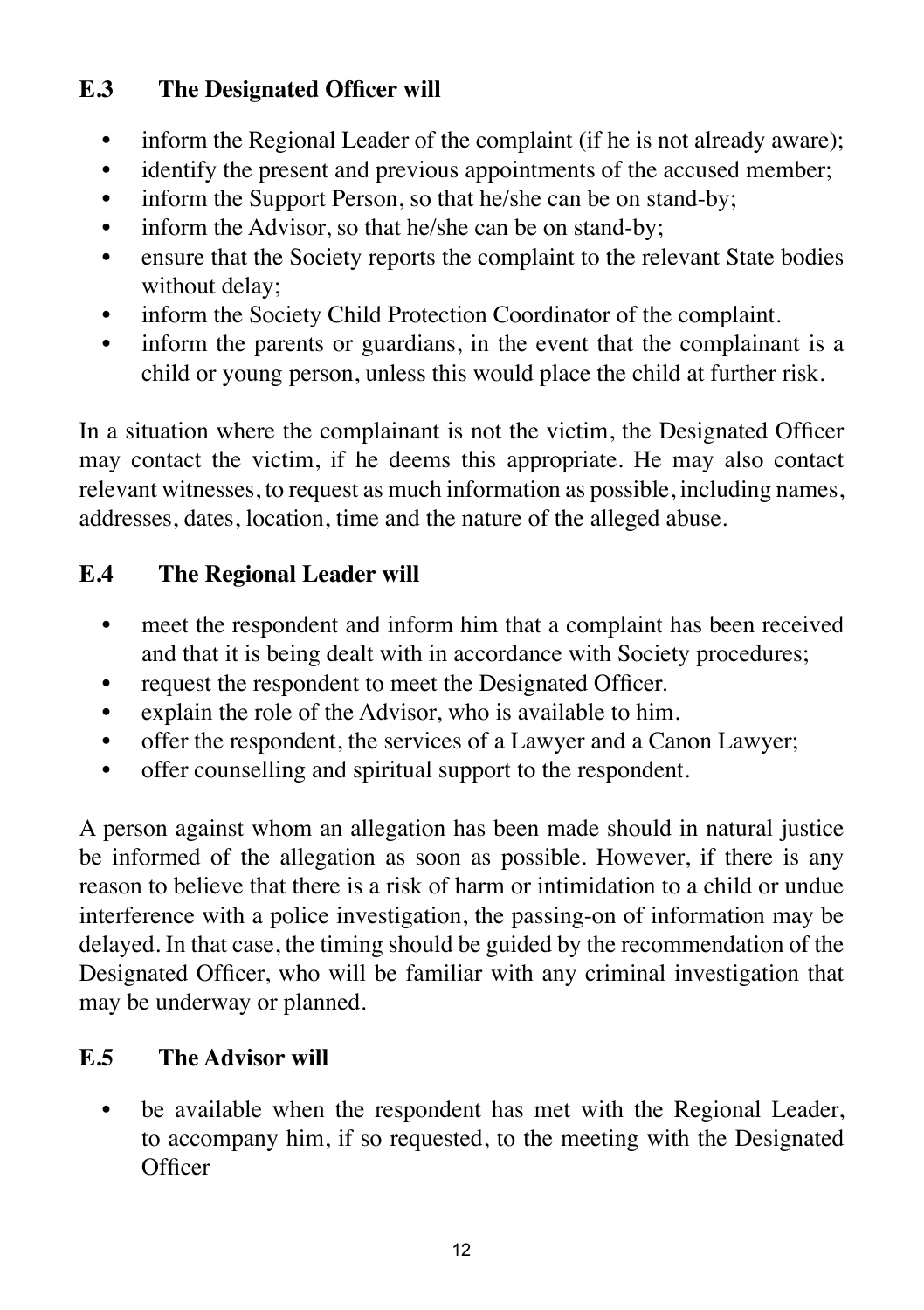#### **E.3 The Designated Officer will**

- inform the Regional Leader of the complaint (if he is not already aware);
- identify the present and previous appointments of the accused member;
- inform the Support Person, so that he/she can be on stand-by;
- inform the Advisor, so that he/she can be on stand-by;
- ensure that the Society reports the complaint to the relevant State bodies without delay;
- inform the Society Child Protection Coordinator of the complaint.
- inform the parents or guardians, in the event that the complainant is a child or young person, unless this would place the child at further risk.

In a situation where the complainant is not the victim, the Designated Officer may contact the victim, if he deems this appropriate. He may also contact relevant witnesses, to request as much information as possible, including names, addresses, dates, location, time and the nature of the alleged abuse.

#### **E.4 The Regional Leader will**

- meet the respondent and inform him that a complaint has been received and that it is being dealt with in accordance with Society procedures;
- request the respondent to meet the Designated Officer.
- explain the role of the Advisor, who is available to him.
- offer the respondent, the services of a Lawyer and a Canon Lawyer;
- offer counselling and spiritual support to the respondent.

A person against whom an allegation has been made should in natural justice be informed of the allegation as soon as possible. However, if there is any reason to believe that there is a risk of harm or intimidation to a child or undue interference with a police investigation, the passing-on of information may be delayed. In that case, the timing should be guided by the recommendation of the Designated Officer, who will be familiar with any criminal investigation that may be underway or planned.

#### **E.5 The Advisor will**

• be available when the respondent has met with the Regional Leader, to accompany him, if so requested, to the meeting with the Designated **Officer**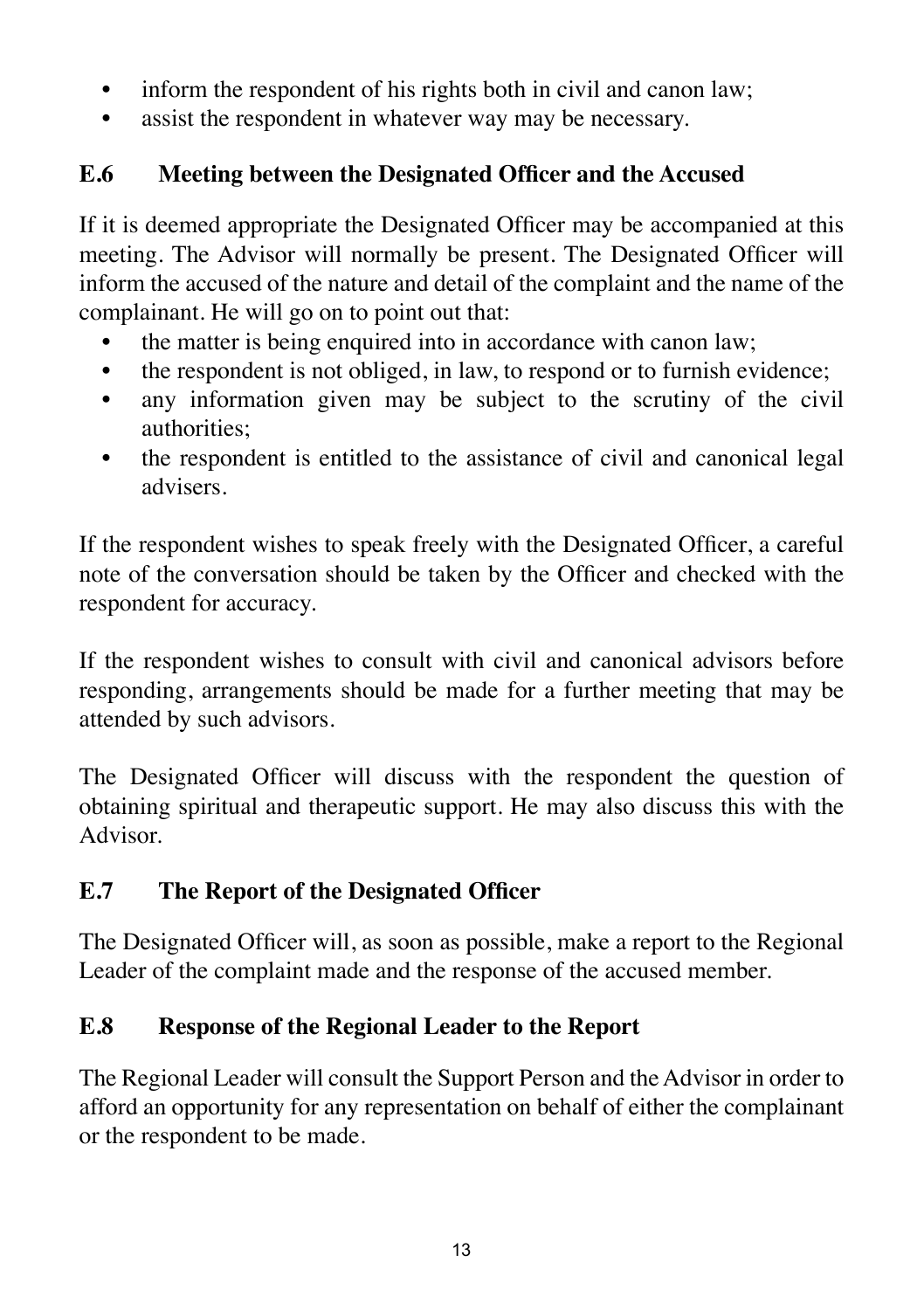- inform the respondent of his rights both in civil and canon law;
- assist the respondent in whatever way may be necessary.

#### **E.6 Meeting between the Designated Officer and the Accused**

If it is deemed appropriate the Designated Officer may be accompanied at this meeting. The Advisor will normally be present. The Designated Officer will inform the accused of the nature and detail of the complaint and the name of the complainant. He will go on to point out that:

- the matter is being enquired into in accordance with canon law;
- the respondent is not obliged, in law, to respond or to furnish evidence;
- any information given may be subject to the scrutiny of the civil authorities;
- the respondent is entitled to the assistance of civil and canonical legal advisers.

If the respondent wishes to speak freely with the Designated Officer, a careful note of the conversation should be taken by the Officer and checked with the respondent for accuracy.

If the respondent wishes to consult with civil and canonical advisors before responding, arrangements should be made for a further meeting that may be attended by such advisors.

The Designated Officer will discuss with the respondent the question of obtaining spiritual and therapeutic support. He may also discuss this with the Advisor.

#### **E.7 The Report of the Designated Officer**

The Designated Officer will, as soon as possible, make a report to the Regional Leader of the complaint made and the response of the accused member.

#### **E.8 Response of the Regional Leader to the Report**

The Regional Leader will consult the Support Person and the Advisor in order to afford an opportunity for any representation on behalf of either the complainant or the respondent to be made.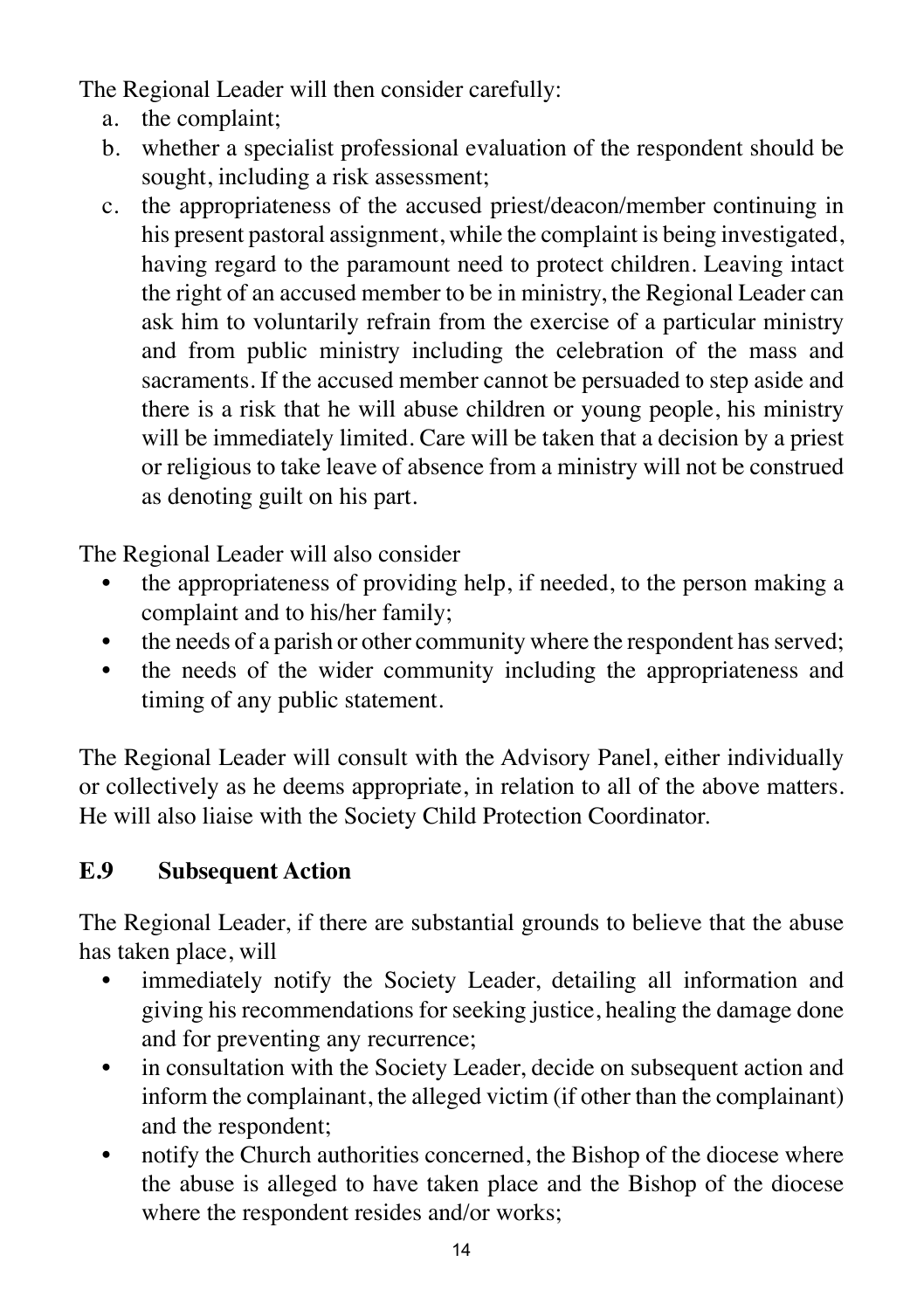The Regional Leader will then consider carefully:

- a. the complaint;
- b. whether a specialist professional evaluation of the respondent should be sought, including a risk assessment;
- c. the appropriateness of the accused priest/deacon/member continuing in his present pastoral assignment, while the complaint is being investigated, having regard to the paramount need to protect children. Leaving intact the right of an accused member to be in ministry, the Regional Leader can ask him to voluntarily refrain from the exercise of a particular ministry and from public ministry including the celebration of the mass and sacraments. If the accused member cannot be persuaded to step aside and there is a risk that he will abuse children or young people, his ministry will be immediately limited. Care will be taken that a decision by a priest or religious to take leave of absence from a ministry will not be construed as denoting guilt on his part.

The Regional Leader will also consider

- the appropriateness of providing help, if needed, to the person making a complaint and to his/her family;
- the needs of a parish or other community where the respondent has served;
- the needs of the wider community including the appropriateness and timing of any public statement.

The Regional Leader will consult with the Advisory Panel, either individually or collectively as he deems appropriate, in relation to all of the above matters. He will also liaise with the Society Child Protection Coordinator.

#### **E.9 Subsequent Action**

The Regional Leader, if there are substantial grounds to believe that the abuse has taken place, will

- immediately notify the Society Leader, detailing all information and giving his recommendations for seeking justice, healing the damage done and for preventing any recurrence;
- in consultation with the Society Leader, decide on subsequent action and inform the complainant, the alleged victim (if other than the complainant) and the respondent;
- notify the Church authorities concerned, the Bishop of the diocese where the abuse is alleged to have taken place and the Bishop of the diocese where the respondent resides and/or works;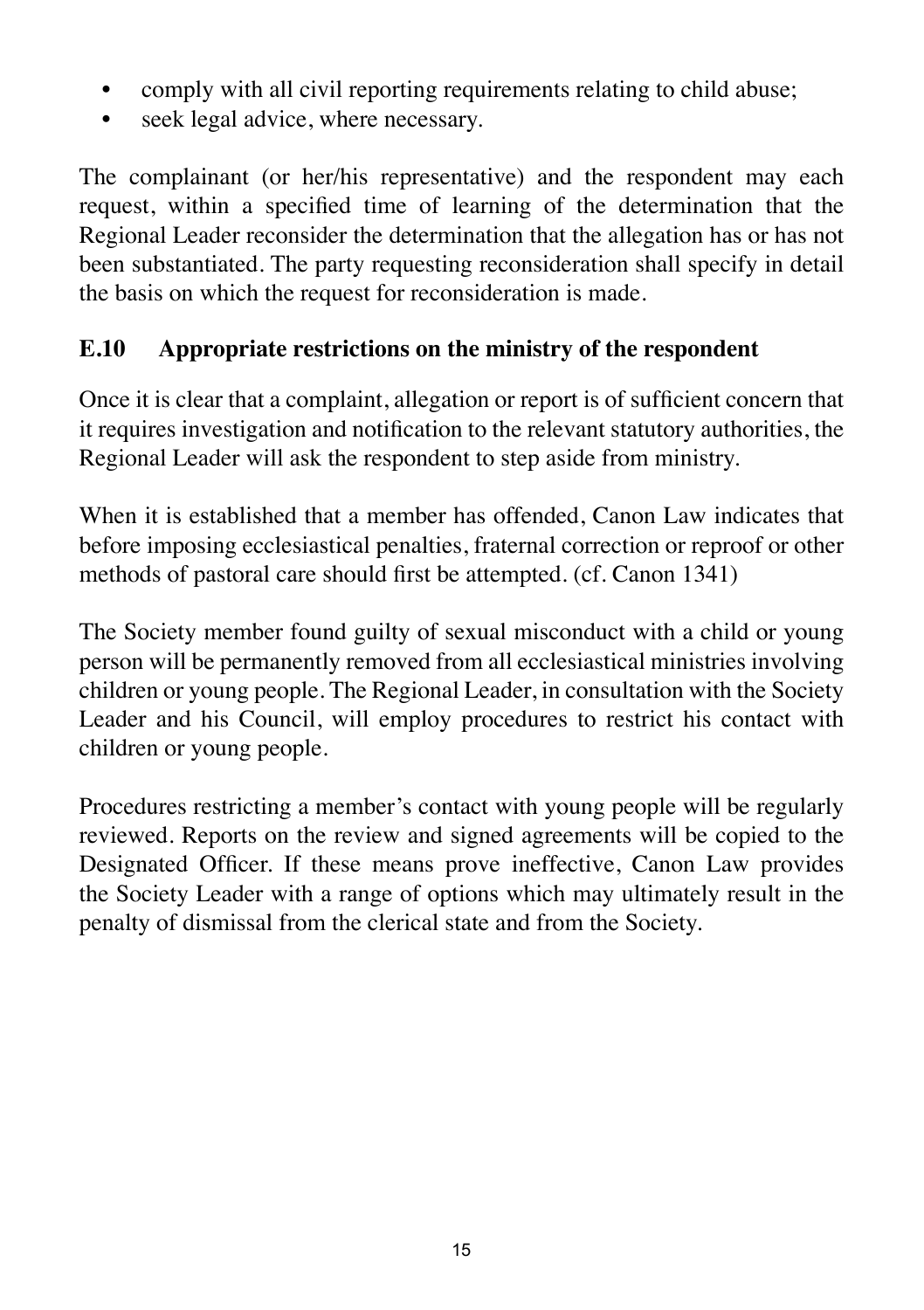- comply with all civil reporting requirements relating to child abuse;
- seek legal advice, where necessary.

The complainant (or her/his representative) and the respondent may each request, within a specified time of learning of the determination that the Regional Leader reconsider the determination that the allegation has or has not been substantiated. The party requesting reconsideration shall specify in detail the basis on which the request for reconsideration is made.

#### **E.10 Appropriate restrictions on the ministry of the respondent**

Once it is clear that a complaint, allegation or report is of sufficient concern that it requires investigation and notification to the relevant statutory authorities, the Regional Leader will ask the respondent to step aside from ministry.

When it is established that a member has offended, Canon Law indicates that before imposing ecclesiastical penalties, fraternal correction or reproof or other methods of pastoral care should first be attempted. (cf. Canon 1341)

The Society member found guilty of sexual misconduct with a child or young person will be permanently removed from all ecclesiastical ministries involving children or young people. The Regional Leader, in consultation with the Society Leader and his Council, will employ procedures to restrict his contact with children or young people.

Procedures restricting a member's contact with young people will be regularly reviewed. Reports on the review and signed agreements will be copied to the Designated Officer. If these means prove ineffective, Canon Law provides the Society Leader with a range of options which may ultimately result in the penalty of dismissal from the clerical state and from the Society.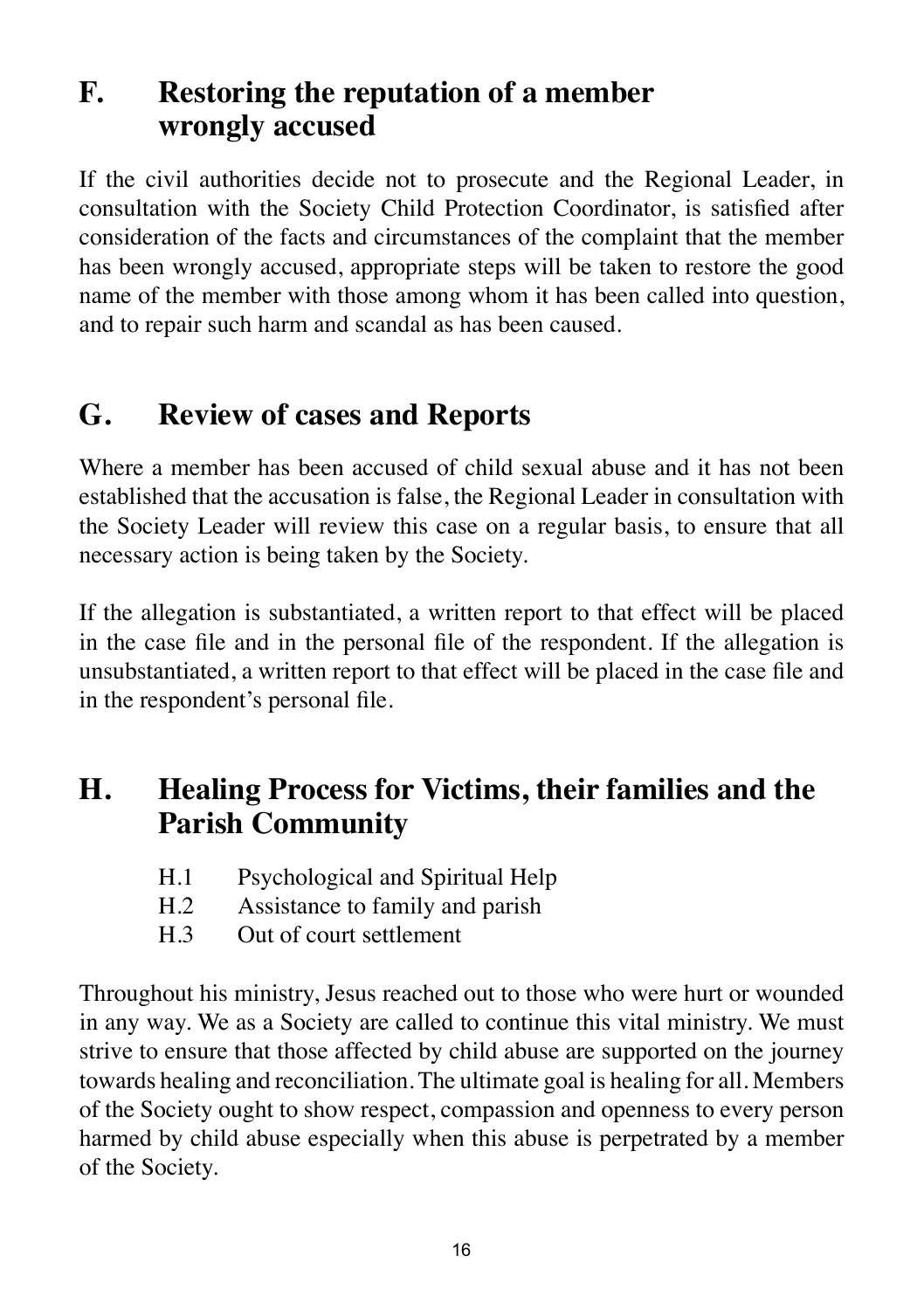# **F. Restoring the reputation of a member wrongly accused**

If the civil authorities decide not to prosecute and the Regional Leader, in consultation with the Society Child Protection Coordinator, is satisfied after consideration of the facts and circumstances of the complaint that the member has been wrongly accused, appropriate steps will be taken to restore the good name of the member with those among whom it has been called into question, and to repair such harm and scandal as has been caused.

# **G. Review of cases and Reports**

Where a member has been accused of child sexual abuse and it has not been established that the accusation is false, the Regional Leader in consultation with the Society Leader will review this case on a regular basis, to ensure that all necessary action is being taken by the Society.

If the allegation is substantiated, a written report to that effect will be placed in the case file and in the personal file of the respondent. If the allegation is unsubstantiated, a written report to that effect will be placed in the case file and in the respondent's personal file.

# **H. Healing Process for Victims, their families and the Parish Community**

- H.1 Psychological and Spiritual Help
- H.2 Assistance to family and parish
- H.3 Out of court settlement

Throughout his ministry, Jesus reached out to those who were hurt or wounded in any way. We as a Society are called to continue this vital ministry. We must strive to ensure that those affected by child abuse are supported on the journey towards healing and reconciliation. The ultimate goal is healing for all. Members of the Society ought to show respect, compassion and openness to every person harmed by child abuse especially when this abuse is perpetrated by a member of the Society.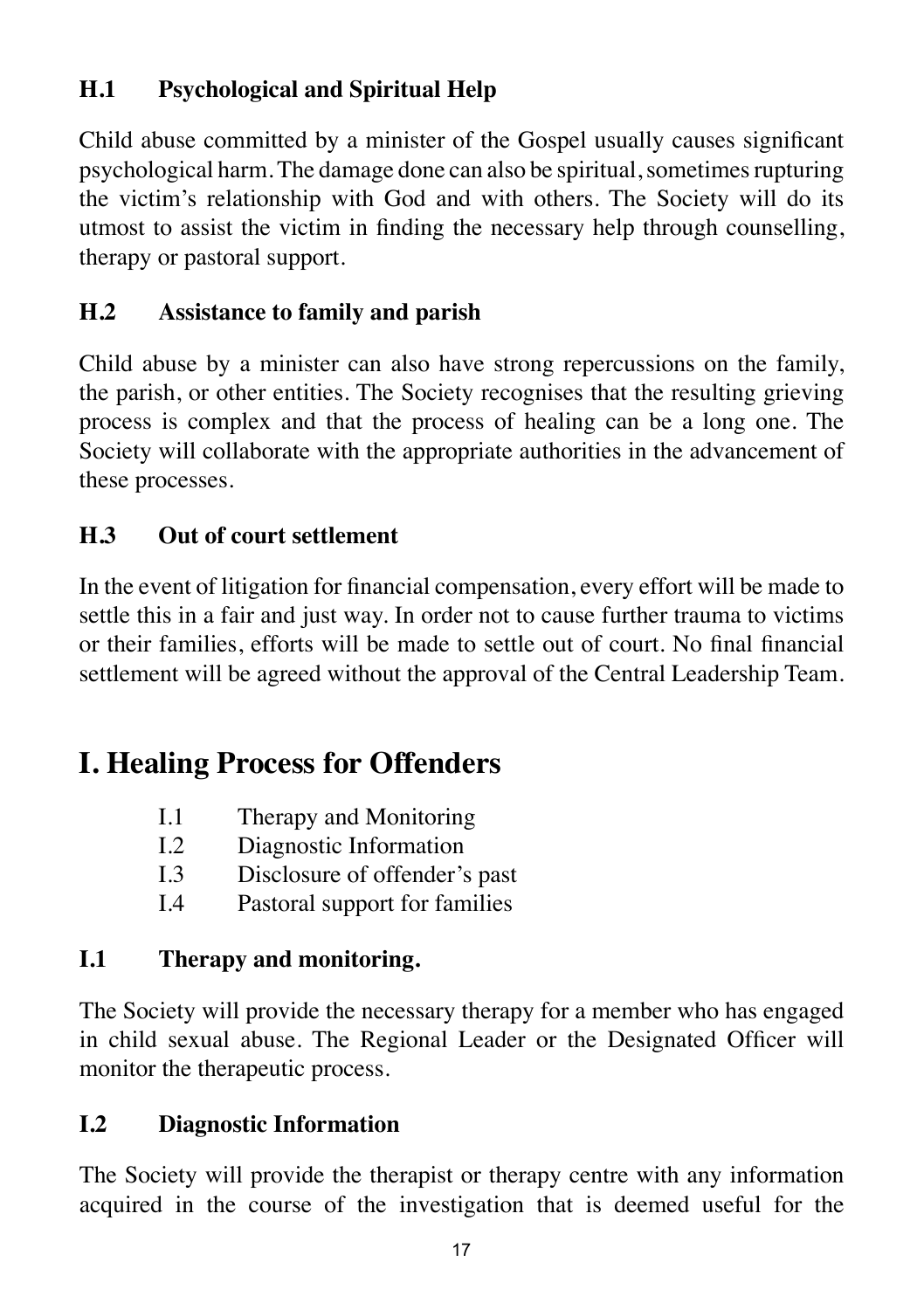#### **H.1 Psychological and Spiritual Help**

Child abuse committed by a minister of the Gospel usually causes significant psychological harm. The damage done can also be spiritual, sometimes rupturing the victim's relationship with God and with others. The Society will do its utmost to assist the victim in finding the necessary help through counselling, therapy or pastoral support.

#### **H.2 Assistance to family and parish**

Child abuse by a minister can also have strong repercussions on the family, the parish, or other entities. The Society recognises that the resulting grieving process is complex and that the process of healing can be a long one. The Society will collaborate with the appropriate authorities in the advancement of these processes.

#### **H.3 Out of court settlement**

In the event of litigation for financial compensation, every effort will be made to settle this in a fair and just way. In order not to cause further trauma to victims or their families, efforts will be made to settle out of court. No final financial settlement will be agreed without the approval of the Central Leadership Team.

# **I. Healing Process for Offenders**

- I.1 Therapy and Monitoring
- I.2 Diagnostic Information
- I.3 Disclosure of offender's past
- I.4 Pastoral support for families

#### **I.1 Therapy and monitoring.**

The Society will provide the necessary therapy for a member who has engaged in child sexual abuse. The Regional Leader or the Designated Officer will monitor the therapeutic process.

#### **I.2 Diagnostic Information**

The Society will provide the therapist or therapy centre with any information acquired in the course of the investigation that is deemed useful for the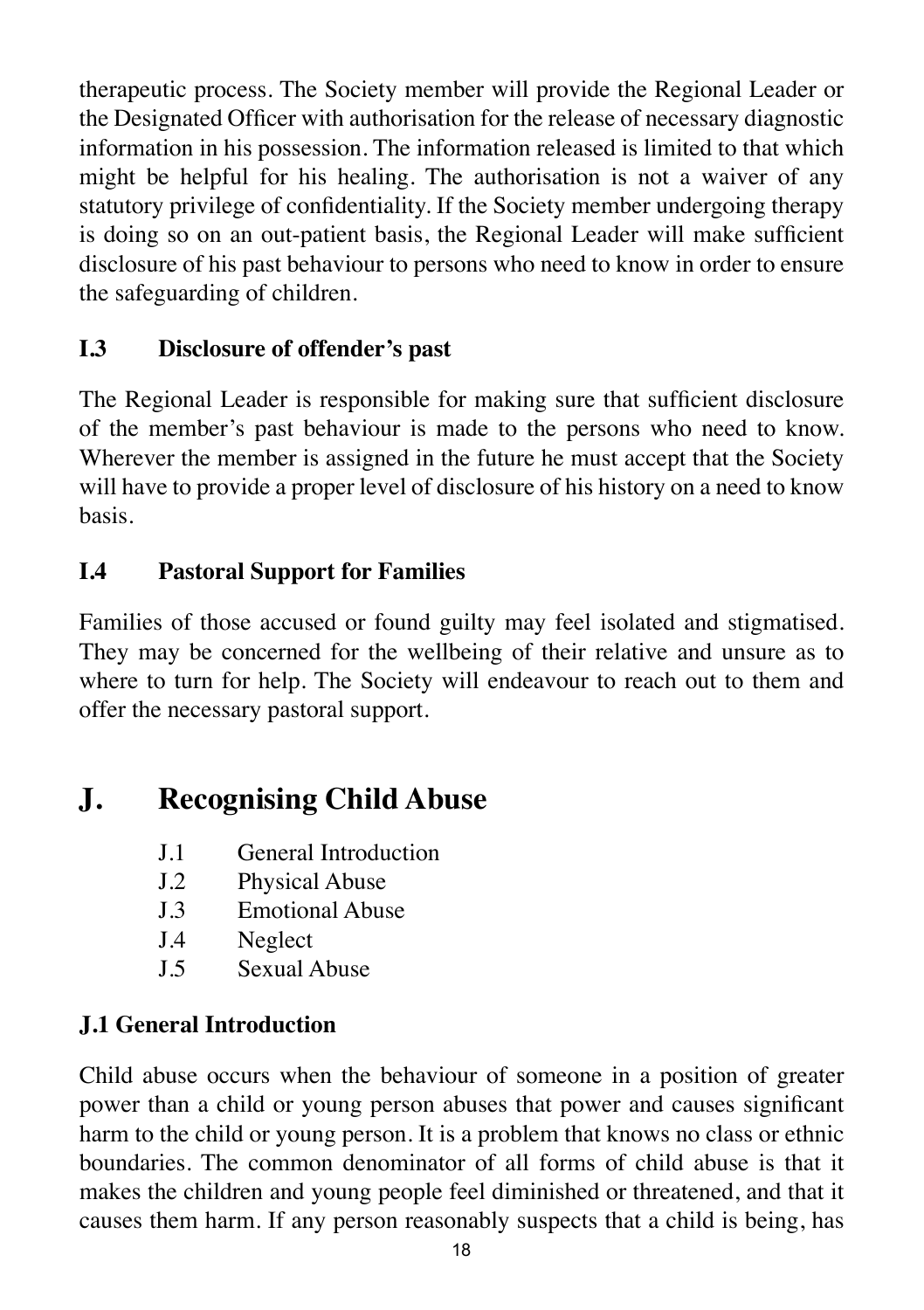therapeutic process. The Society member will provide the Regional Leader or the Designated Officer with authorisation for the release of necessary diagnostic information in his possession. The information released is limited to that which might be helpful for his healing. The authorisation is not a waiver of any statutory privilege of confidentiality. If the Society member undergoing therapy is doing so on an out-patient basis, the Regional Leader will make sufficient disclosure of his past behaviour to persons who need to know in order to ensure the safeguarding of children.

#### **I.3 Disclosure of offender's past**

The Regional Leader is responsible for making sure that sufficient disclosure of the member's past behaviour is made to the persons who need to know. Wherever the member is assigned in the future he must accept that the Society will have to provide a proper level of disclosure of his history on a need to know basis.

#### **I.4 Pastoral Support for Families**

Families of those accused or found guilty may feel isolated and stigmatised. They may be concerned for the wellbeing of their relative and unsure as to where to turn for help. The Society will endeavour to reach out to them and offer the necessary pastoral support.

# **J. Recognising Child Abuse**

- J.1 General Introduction
- J.2 Physical Abuse
- J.3 Emotional Abuse
- J.4 Neglect
- J.5 Sexual Abuse

## **J.1 General Introduction**

Child abuse occurs when the behaviour of someone in a position of greater power than a child or young person abuses that power and causes significant harm to the child or young person. It is a problem that knows no class or ethnic boundaries. The common denominator of all forms of child abuse is that it makes the children and young people feel diminished or threatened, and that it causes them harm. If any person reasonably suspects that a child is being, has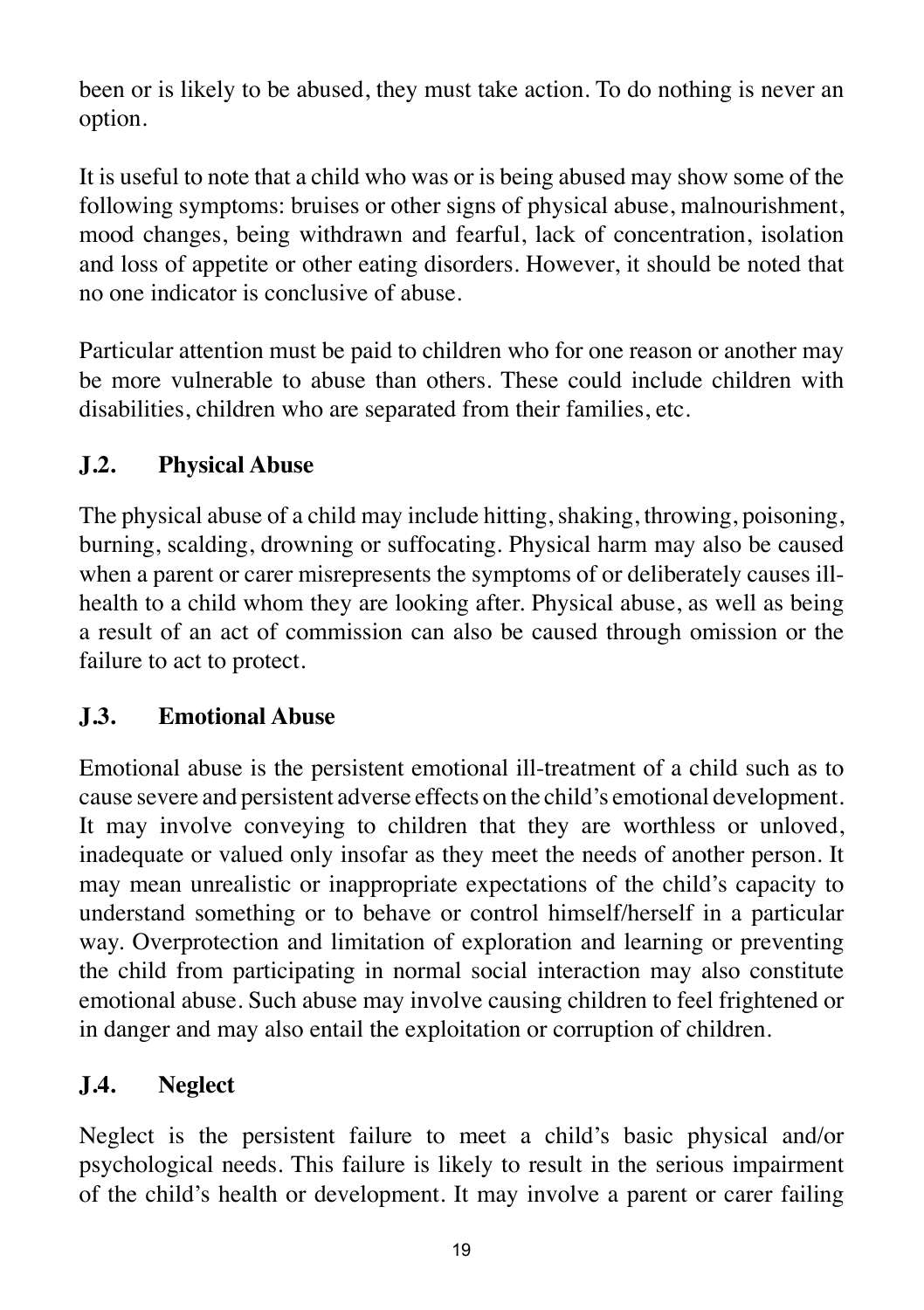been or is likely to be abused, they must take action. To do nothing is never an option.

It is useful to note that a child who was or is being abused may show some of the following symptoms: bruises or other signs of physical abuse, malnourishment, mood changes, being withdrawn and fearful, lack of concentration, isolation and loss of appetite or other eating disorders. However, it should be noted that no one indicator is conclusive of abuse.

Particular attention must be paid to children who for one reason or another may be more vulnerable to abuse than others. These could include children with disabilities, children who are separated from their families, etc.

#### **J.2. Physical Abuse**

The physical abuse of a child may include hitting, shaking, throwing, poisoning, burning, scalding, drowning or suffocating. Physical harm may also be caused when a parent or carer misrepresents the symptoms of or deliberately causes illhealth to a child whom they are looking after. Physical abuse, as well as being a result of an act of commission can also be caused through omission or the failure to act to protect.

#### **J.3. Emotional Abuse**

Emotional abuse is the persistent emotional ill-treatment of a child such as to cause severe and persistent adverse effects on the child's emotional development. It may involve conveying to children that they are worthless or unloved, inadequate or valued only insofar as they meet the needs of another person. It may mean unrealistic or inappropriate expectations of the child's capacity to understand something or to behave or control himself/herself in a particular way. Overprotection and limitation of exploration and learning or preventing the child from participating in normal social interaction may also constitute emotional abuse. Such abuse may involve causing children to feel frightened or in danger and may also entail the exploitation or corruption of children.

#### **J.4. Neglect**

Neglect is the persistent failure to meet a child's basic physical and/or psychological needs. This failure is likely to result in the serious impairment of the child's health or development. It may involve a parent or carer failing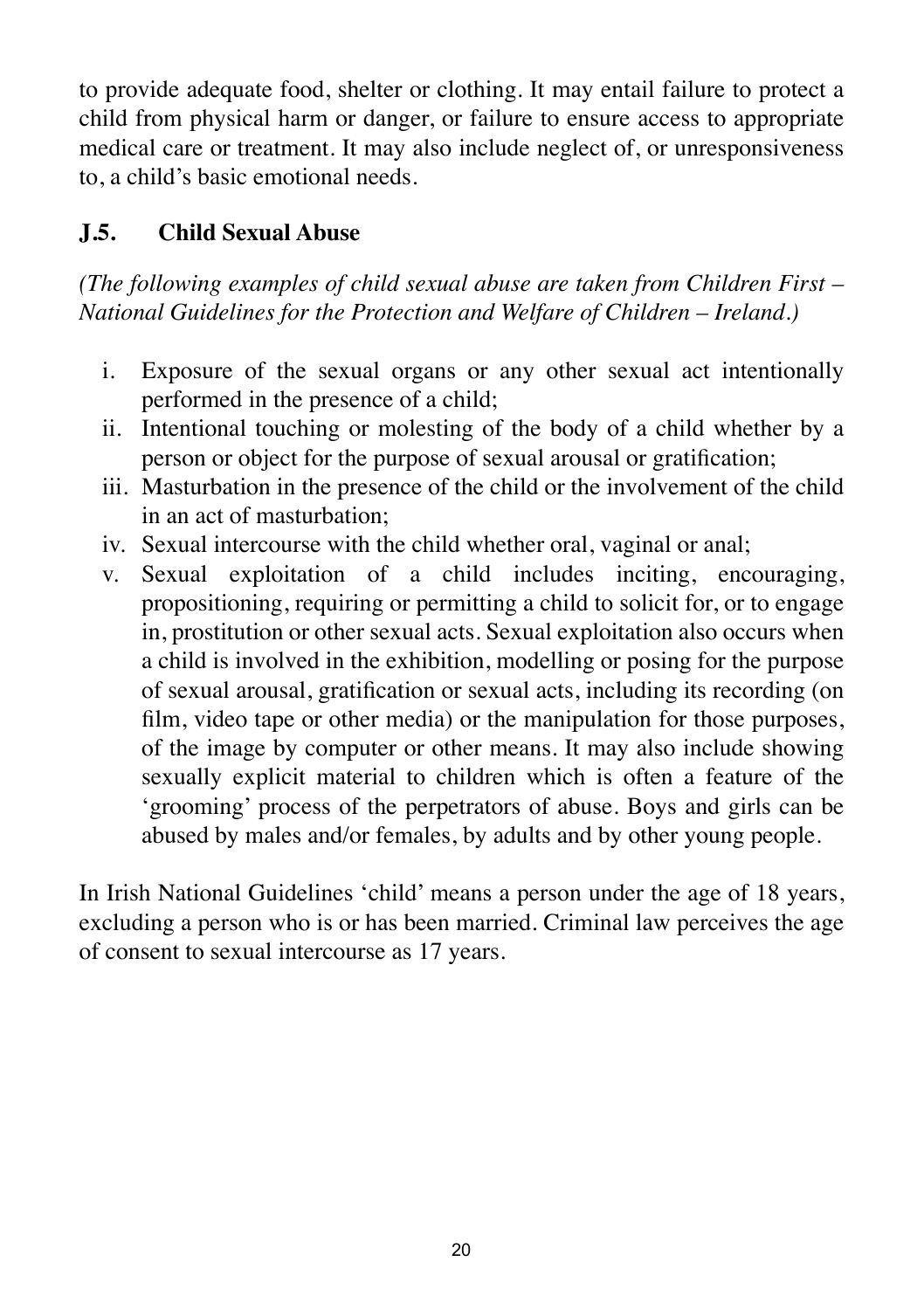to provide adequate food, shelter or clothing. It may entail failure to protect a child from physical harm or danger, or failure to ensure access to appropriate medical care or treatment. It may also include neglect of, or unresponsiveness to, a child's basic emotional needs.

#### **J.5. Child Sexual Abuse**

*(The following examples of child sexual abuse are taken from Children First – National Guidelines for the Protection and Welfare of Children – Ireland.)*

- i. Exposure of the sexual organs or any other sexual act intentionally performed in the presence of a child;
- ii. Intentional touching or molesting of the body of a child whether by a person or object for the purpose of sexual arousal or gratification;
- iii. Masturbation in the presence of the child or the involvement of the child in an act of masturbation;
- iv. Sexual intercourse with the child whether oral, vaginal or anal;
- v. Sexual exploitation of a child includes inciting, encouraging, propositioning, requiring or permitting a child to solicit for, or to engage in, prostitution or other sexual acts. Sexual exploitation also occurs when a child is involved in the exhibition, modelling or posing for the purpose of sexual arousal, gratification or sexual acts, including its recording (on film, video tape or other media) or the manipulation for those purposes, of the image by computer or other means. It may also include showing sexually explicit material to children which is often a feature of the 'grooming' process of the perpetrators of abuse. Boys and girls can be abused by males and/or females, by adults and by other young people.

In Irish National Guidelines 'child' means a person under the age of 18 years, excluding a person who is or has been married. Criminal law perceives the age of consent to sexual intercourse as 17 years.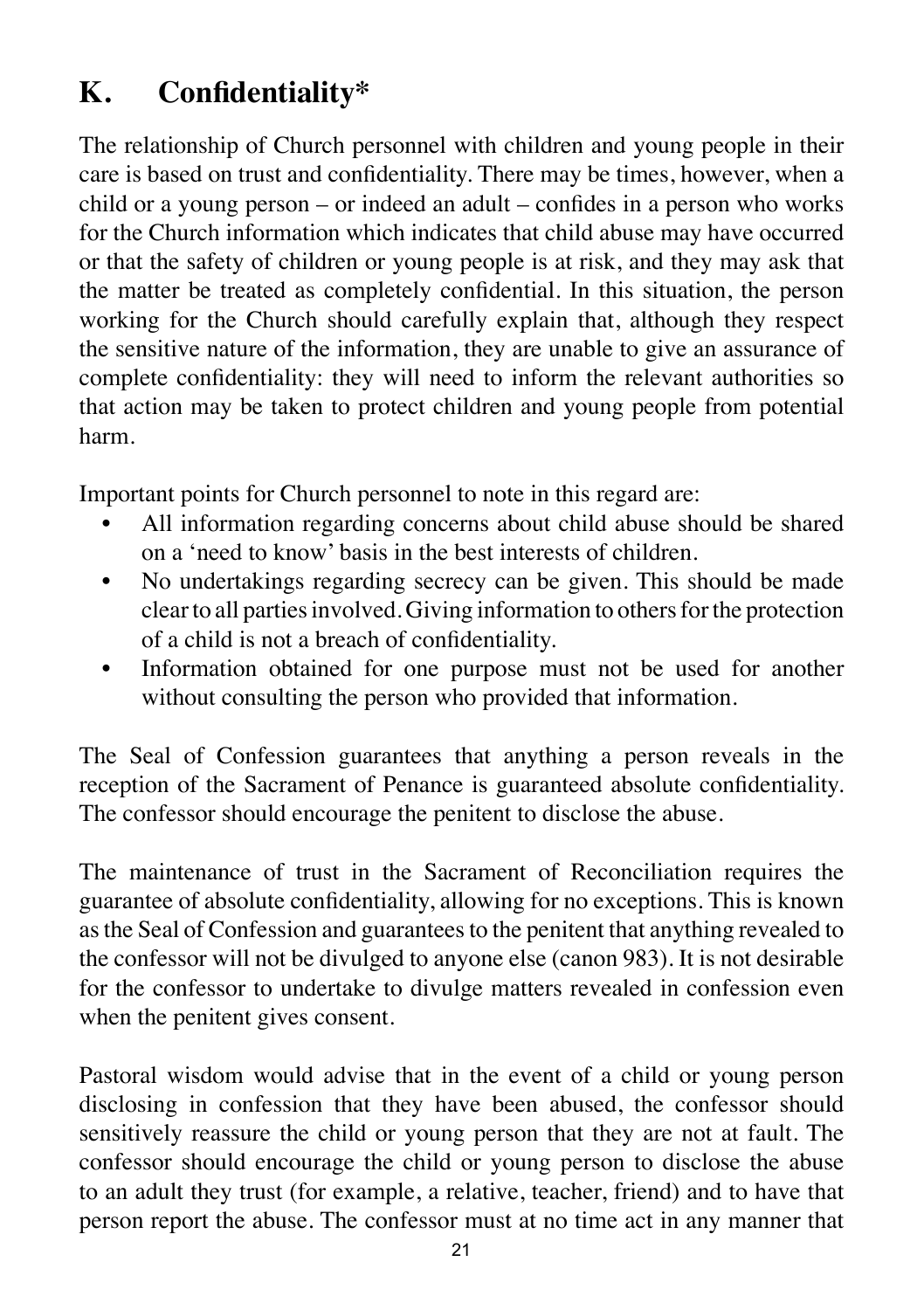# **K. Confidentiality\***

The relationship of Church personnel with children and young people in their care is based on trust and confidentiality. There may be times, however, when a child or a young person – or indeed an adult – confides in a person who works for the Church information which indicates that child abuse may have occurred or that the safety of children or young people is at risk, and they may ask that the matter be treated as completely confidential. In this situation, the person working for the Church should carefully explain that, although they respect the sensitive nature of the information, they are unable to give an assurance of complete confidentiality: they will need to inform the relevant authorities so that action may be taken to protect children and young people from potential harm.

Important points for Church personnel to note in this regard are:

- All information regarding concerns about child abuse should be shared on a 'need to know' basis in the best interests of children.
- No undertakings regarding secrecy can be given. This should be made clear to all parties involved. Giving information to others for the protection of a child is not a breach of confidentiality.
- Information obtained for one purpose must not be used for another without consulting the person who provided that information.

The Seal of Confession guarantees that anything a person reveals in the reception of the Sacrament of Penance is guaranteed absolute confidentiality. The confessor should encourage the penitent to disclose the abuse.

The maintenance of trust in the Sacrament of Reconciliation requires the guarantee of absolute confidentiality, allowing for no exceptions. This is known as the Seal of Confession and guarantees to the penitent that anything revealed to the confessor will not be divulged to anyone else (canon 983). It is not desirable for the confessor to undertake to divulge matters revealed in confession even when the penitent gives consent.

Pastoral wisdom would advise that in the event of a child or young person disclosing in confession that they have been abused, the confessor should sensitively reassure the child or young person that they are not at fault. The confessor should encourage the child or young person to disclose the abuse to an adult they trust (for example, a relative, teacher, friend) and to have that person report the abuse. The confessor must at no time act in any manner that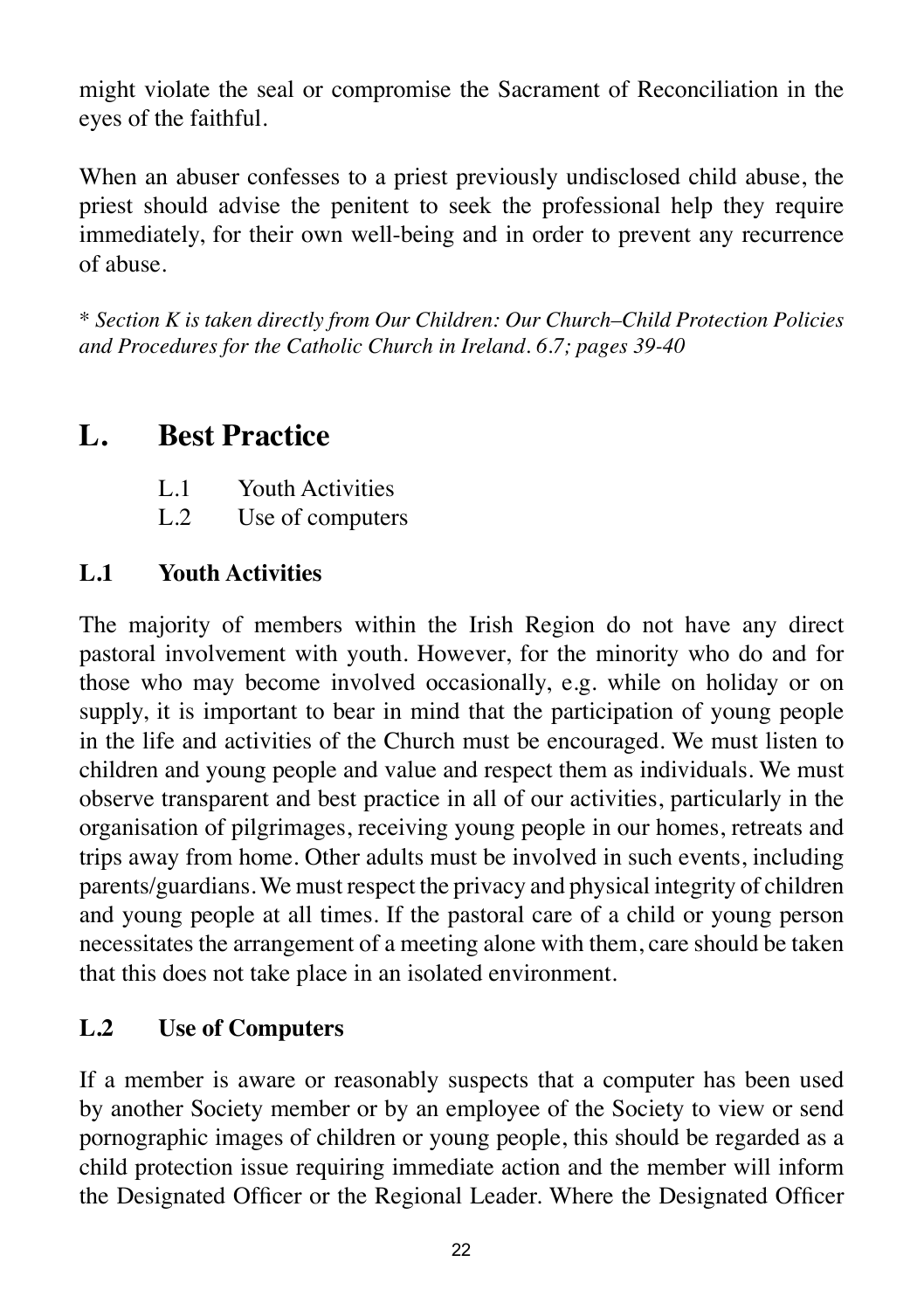might violate the seal or compromise the Sacrament of Reconciliation in the eyes of the faithful.

When an abuser confesses to a priest previously undisclosed child abuse, the priest should advise the penitent to seek the professional help they require immediately, for their own well-being and in order to prevent any recurrence of abuse.

\* *Section K is taken directly from Our Children: Our Church–Child Protection Policies and Procedures for the Catholic Church in Ireland. 6.7; pages 39-40*

## **L. Best Practice**

- L.1 Youth Activities
- L.2 Use of computers

#### **L.1 Youth Activities**

The majority of members within the Irish Region do not have any direct pastoral involvement with youth. However, for the minority who do and for those who may become involved occasionally, e.g. while on holiday or on supply, it is important to bear in mind that the participation of young people in the life and activities of the Church must be encouraged. We must listen to children and young people and value and respect them as individuals. We must observe transparent and best practice in all of our activities, particularly in the organisation of pilgrimages, receiving young people in our homes, retreats and trips away from home. Other adults must be involved in such events, including parents/guardians. We must respect the privacy and physical integrity of children and young people at all times. If the pastoral care of a child or young person necessitates the arrangement of a meeting alone with them, care should be taken that this does not take place in an isolated environment.

#### **L.2 Use of Computers**

If a member is aware or reasonably suspects that a computer has been used by another Society member or by an employee of the Society to view or send pornographic images of children or young people, this should be regarded as a child protection issue requiring immediate action and the member will inform the Designated Officer or the Regional Leader. Where the Designated Officer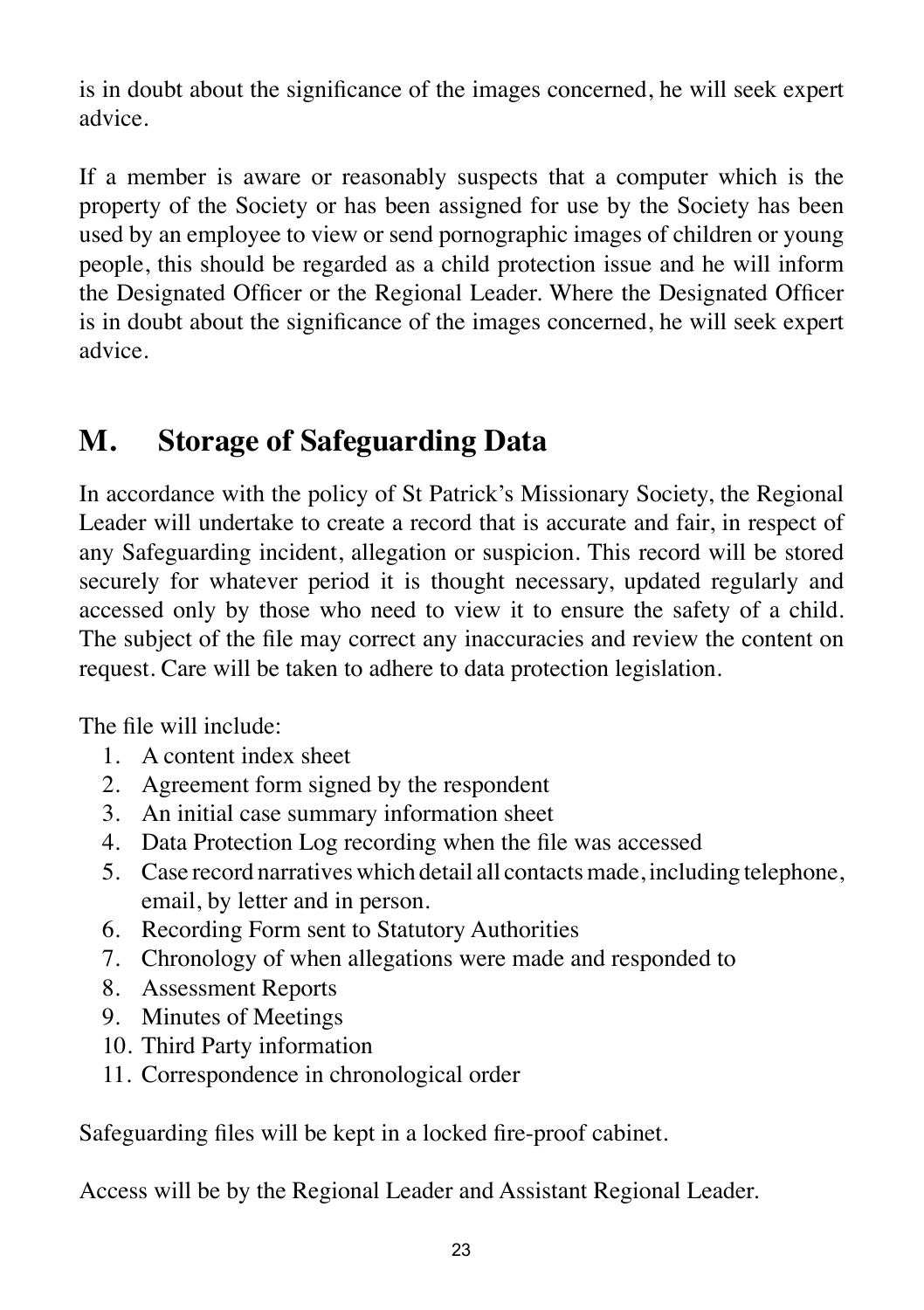is in doubt about the significance of the images concerned, he will seek expert advice.

If a member is aware or reasonably suspects that a computer which is the property of the Society or has been assigned for use by the Society has been used by an employee to view or send pornographic images of children or young people, this should be regarded as a child protection issue and he will inform the Designated Officer or the Regional Leader. Where the Designated Officer is in doubt about the significance of the images concerned, he will seek expert advice.

# **M. Storage of Safeguarding Data**

In accordance with the policy of St Patrick's Missionary Society, the Regional Leader will undertake to create a record that is accurate and fair, in respect of any Safeguarding incident, allegation or suspicion. This record will be stored securely for whatever period it is thought necessary, updated regularly and accessed only by those who need to view it to ensure the safety of a child. The subject of the file may correct any inaccuracies and review the content on request. Care will be taken to adhere to data protection legislation.

The file will include:

- 1. A content index sheet
- 2. Agreement form signed by the respondent
- 3. An initial case summary information sheet
- 4. Data Protection Log recording when the file was accessed
- 5. Case record narratives which detail all contacts made, including telephone, email, by letter and in person.
- 6. Recording Form sent to Statutory Authorities
- 7. Chronology of when allegations were made and responded to
- 8. Assessment Reports
- 9. Minutes of Meetings
- 10. Third Party information
- 11. Correspondence in chronological order

Safeguarding files will be kept in a locked fire-proof cabinet.

Access will be by the Regional Leader and Assistant Regional Leader.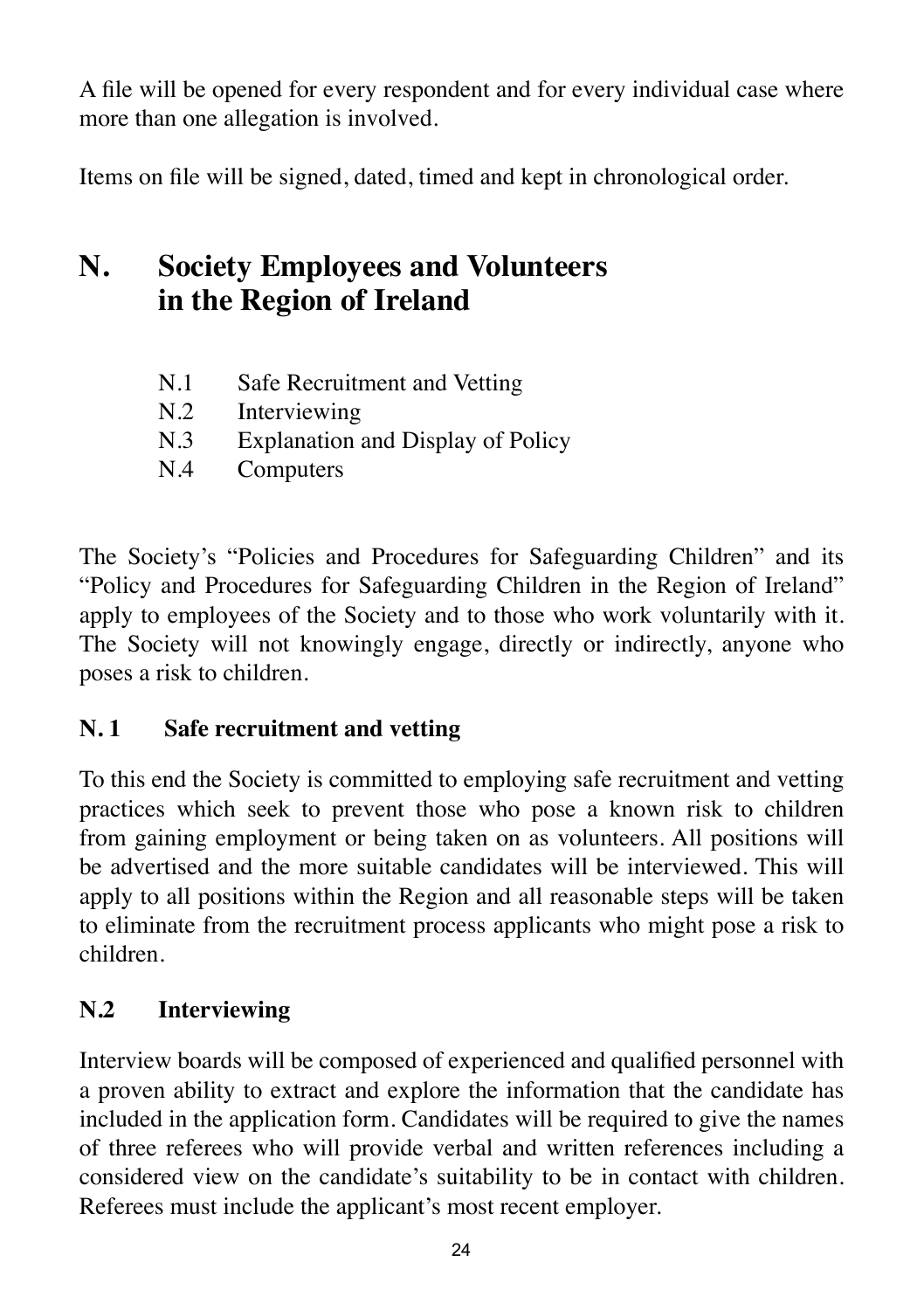A file will be opened for every respondent and for every individual case where more than one allegation is involved.

Items on file will be signed, dated, timed and kept in chronological order.

## **N. Society Employees and Volunteers in the Region of Ireland**

- N.1 Safe Recruitment and Vetting<br>N.2 Interviewing
- **Interviewing**
- N.3 Explanation and Display of Policy
- N.4 Computers

The Society's "Policies and Procedures for Safeguarding Children" and its "Policy and Procedures for Safeguarding Children in the Region of Ireland" apply to employees of the Society and to those who work voluntarily with it. The Society will not knowingly engage, directly or indirectly, anyone who poses a risk to children.

#### **N. 1 Safe recruitment and vetting**

To this end the Society is committed to employing safe recruitment and vetting practices which seek to prevent those who pose a known risk to children from gaining employment or being taken on as volunteers. All positions will be advertised and the more suitable candidates will be interviewed. This will apply to all positions within the Region and all reasonable steps will be taken to eliminate from the recruitment process applicants who might pose a risk to children.

#### **N.2 Interviewing**

Interview boards will be composed of experienced and qualified personnel with a proven ability to extract and explore the information that the candidate has included in the application form. Candidates will be required to give the names of three referees who will provide verbal and written references including a considered view on the candidate's suitability to be in contact with children. Referees must include the applicant's most recent employer.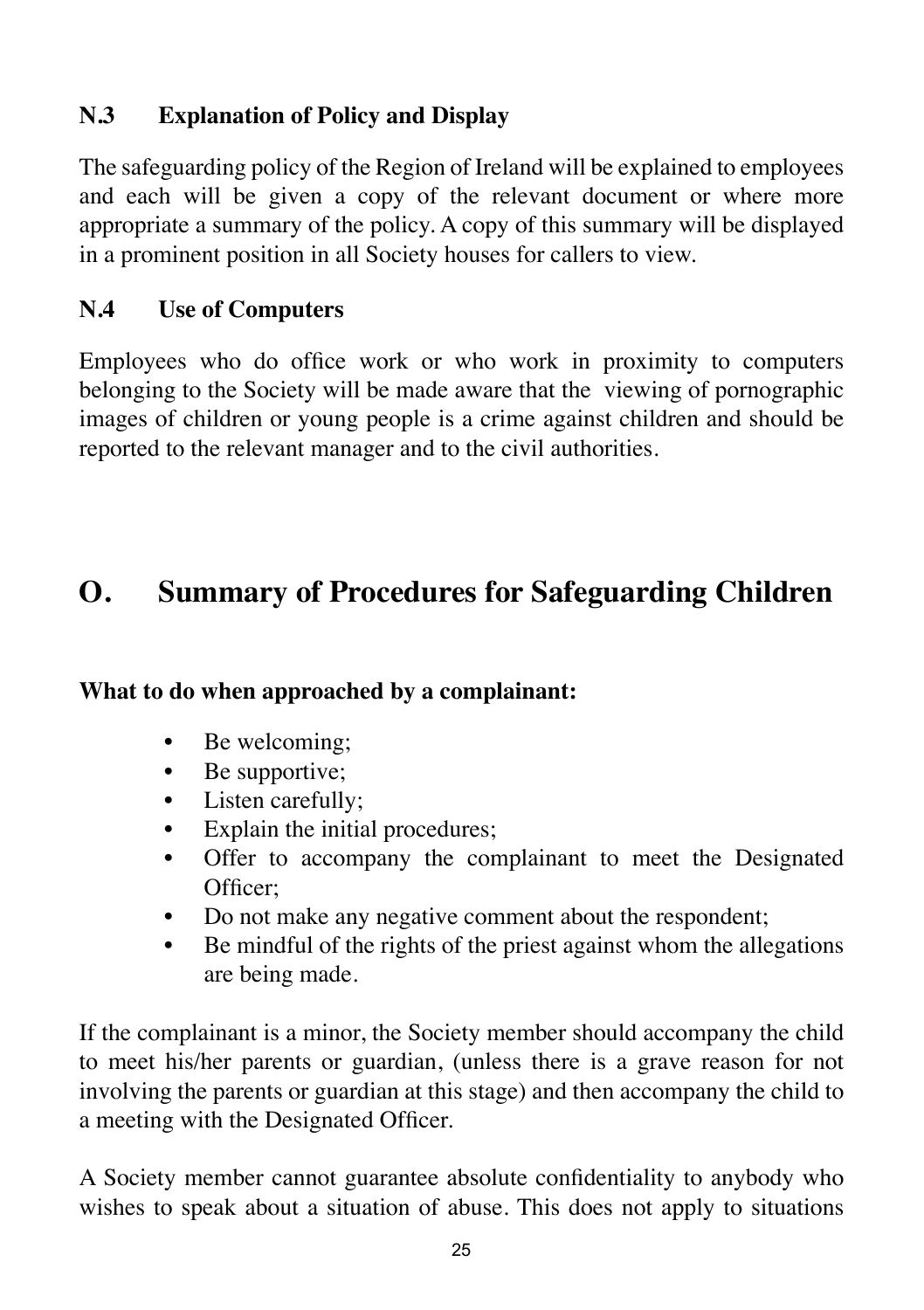#### **N.3 Explanation of Policy and Display**

The safeguarding policy of the Region of Ireland will be explained to employees and each will be given a copy of the relevant document or where more appropriate a summary of the policy. A copy of this summary will be displayed in a prominent position in all Society houses for callers to view.

#### **N.4 Use of Computers**

Employees who do office work or who work in proximity to computers belonging to the Society will be made aware that the viewing of pornographic images of children or young people is a crime against children and should be reported to the relevant manager and to the civil authorities.

# **O. Summary of Procedures for Safeguarding Children**

#### **What to do when approached by a complainant:**

- Be welcoming;
- Be supportive;
- Listen carefully;
- Explain the initial procedures;
- Offer to accompany the complainant to meet the Designated Officer;
- Do not make any negative comment about the respondent;
- Be mindful of the rights of the priest against whom the allegations are being made.

If the complainant is a minor, the Society member should accompany the child to meet his/her parents or guardian, (unless there is a grave reason for not involving the parents or guardian at this stage) and then accompany the child to a meeting with the Designated Officer.

A Society member cannot guarantee absolute confidentiality to anybody who wishes to speak about a situation of abuse. This does not apply to situations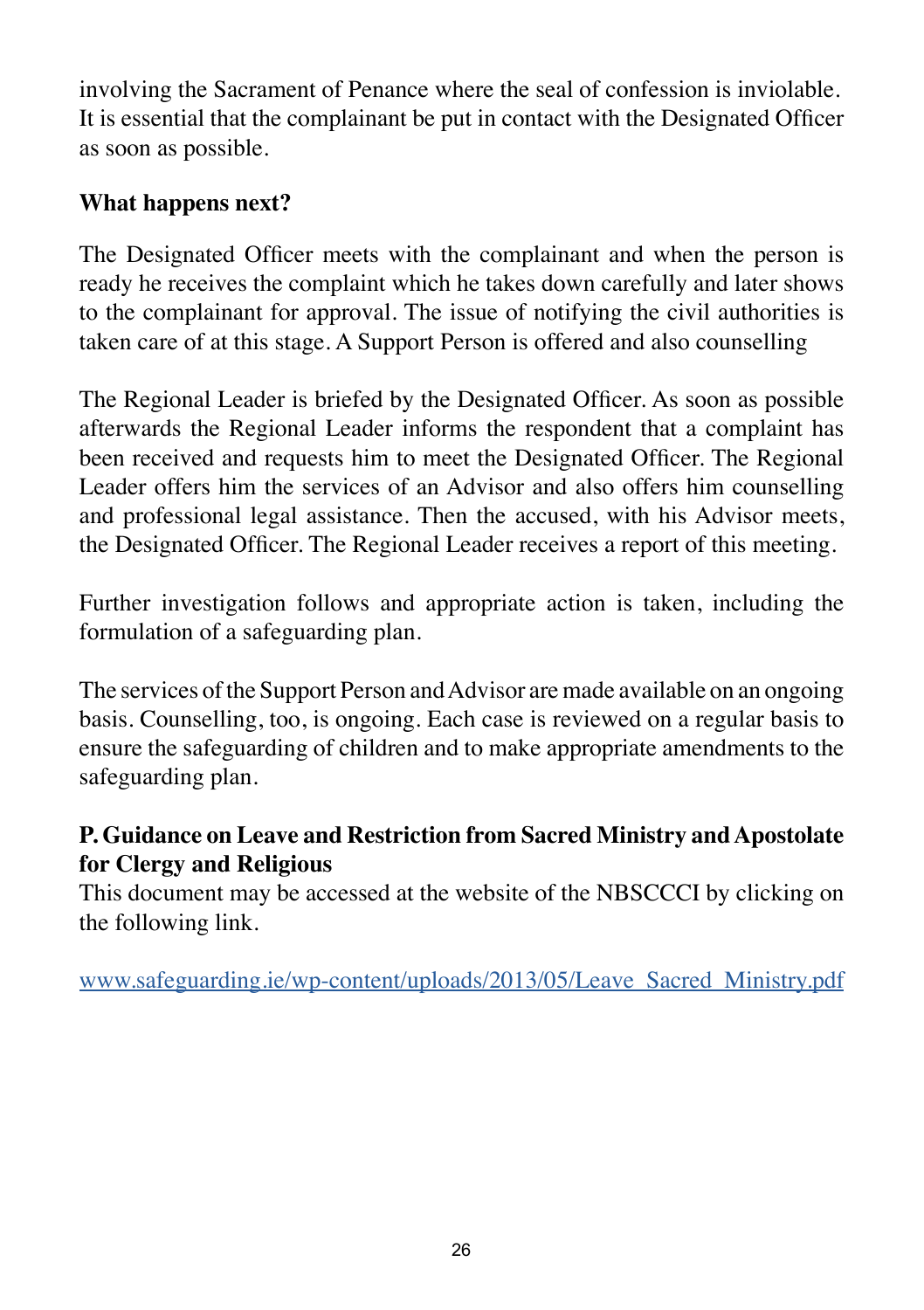involving the Sacrament of Penance where the seal of confession is inviolable. It is essential that the complainant be put in contact with the Designated Officer as soon as possible.

#### **What happens next?**

The Designated Officer meets with the complainant and when the person is ready he receives the complaint which he takes down carefully and later shows to the complainant for approval. The issue of notifying the civil authorities is taken care of at this stage. A Support Person is offered and also counselling

The Regional Leader is briefed by the Designated Officer. As soon as possible afterwards the Regional Leader informs the respondent that a complaint has been received and requests him to meet the Designated Officer. The Regional Leader offers him the services of an Advisor and also offers him counselling and professional legal assistance. Then the accused, with his Advisor meets, the Designated Officer. The Regional Leader receives a report of this meeting.

Further investigation follows and appropriate action is taken, including the formulation of a safeguarding plan.

The services of the Support Person and Advisor are made available on an ongoing basis. Counselling, too, is ongoing. Each case is reviewed on a regular basis to ensure the safeguarding of children and to make appropriate amendments to the safeguarding plan.

#### **P. Guidance on Leave and Restriction from Sacred Ministry and Apostolate for Clergy and Religious**

This document may be accessed at the website of the NBSCCCI by clicking on the following link.

[www.safeguarding.ie/wp-content/uploads/2013/05/Leave\\_Sacred\\_Ministry.pdf](http://www.safeguarding.ie/wp-content/uploads/2013/05/Leave_Sacred_Ministry.pdf)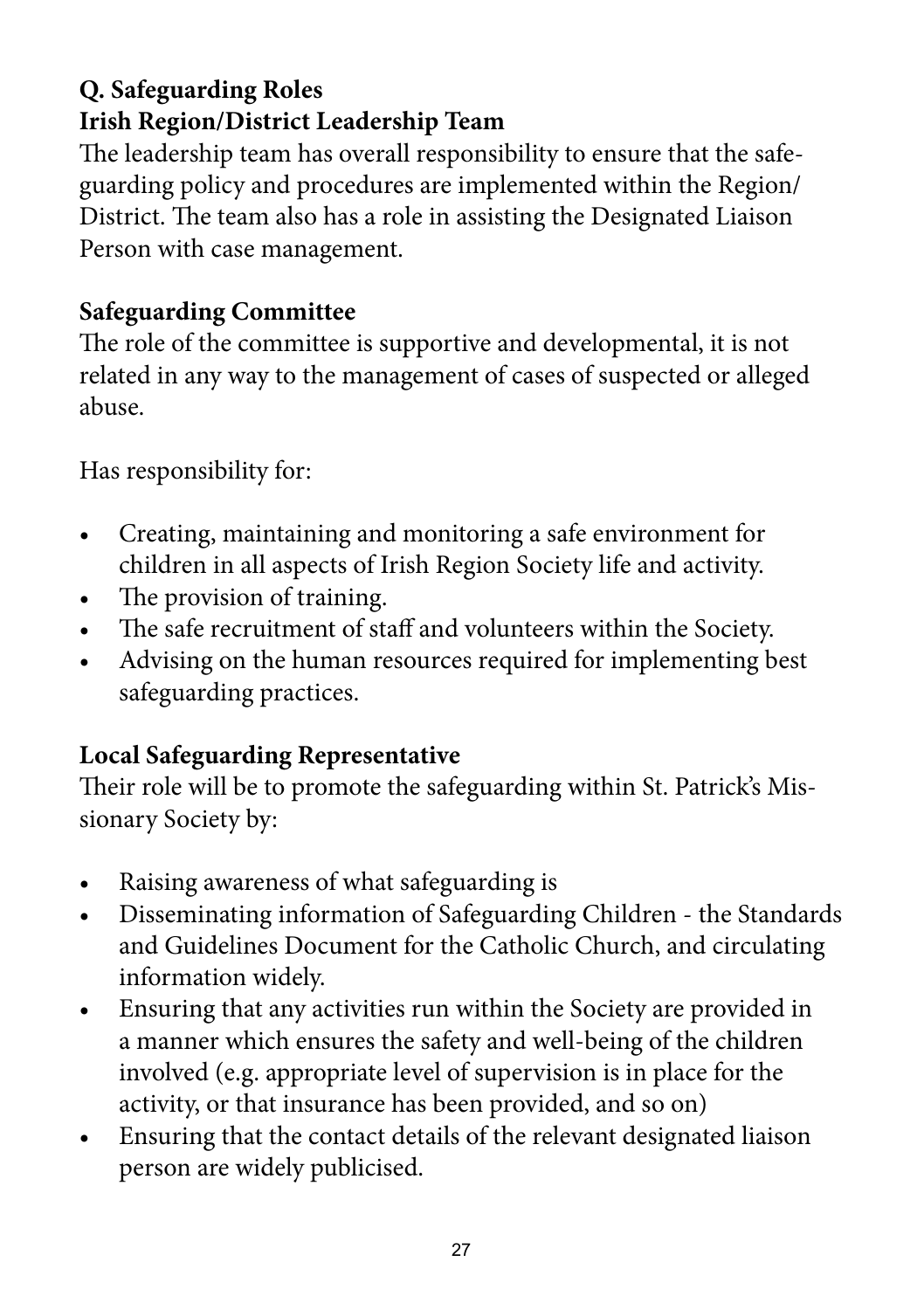## **Q. Safeguarding Roles Irish Region/District Leadership Team**

The leadership team has overall responsibility to ensure that the safeguarding policy and procedures are implemented within the Region/ District. The team also has a role in assisting the Designated Liaison Person with case management.

## **Safeguarding Committee**

The role of the committee is supportive and developmental, it is not related in any way to the management of cases of suspected or alleged abuse.

Has responsibility for:

- Creating, maintaining and monitoring a safe environment for children in all aspects of Irish Region Society life and activity.
- The provision of training.
- The safe recruitment of staff and volunteers within the Society.
- Advising on the human resources required for implementing best safeguarding practices.

## **Local Safeguarding Representative**

Their role will be to promote the safeguarding within St. Patrick's Missionary Society by:

- Raising awareness of what safeguarding is
- Disseminating information of Safeguarding Children the Standards and Guidelines Document for the Catholic Church, and circulating information widely.
- Ensuring that any activities run within the Society are provided in a manner which ensures the safety and well-being of the children involved (e.g. appropriate level of supervision is in place for the activity, or that insurance has been provided, and so on)
- Ensuring that the contact details of the relevant designated liaison person are widely publicised.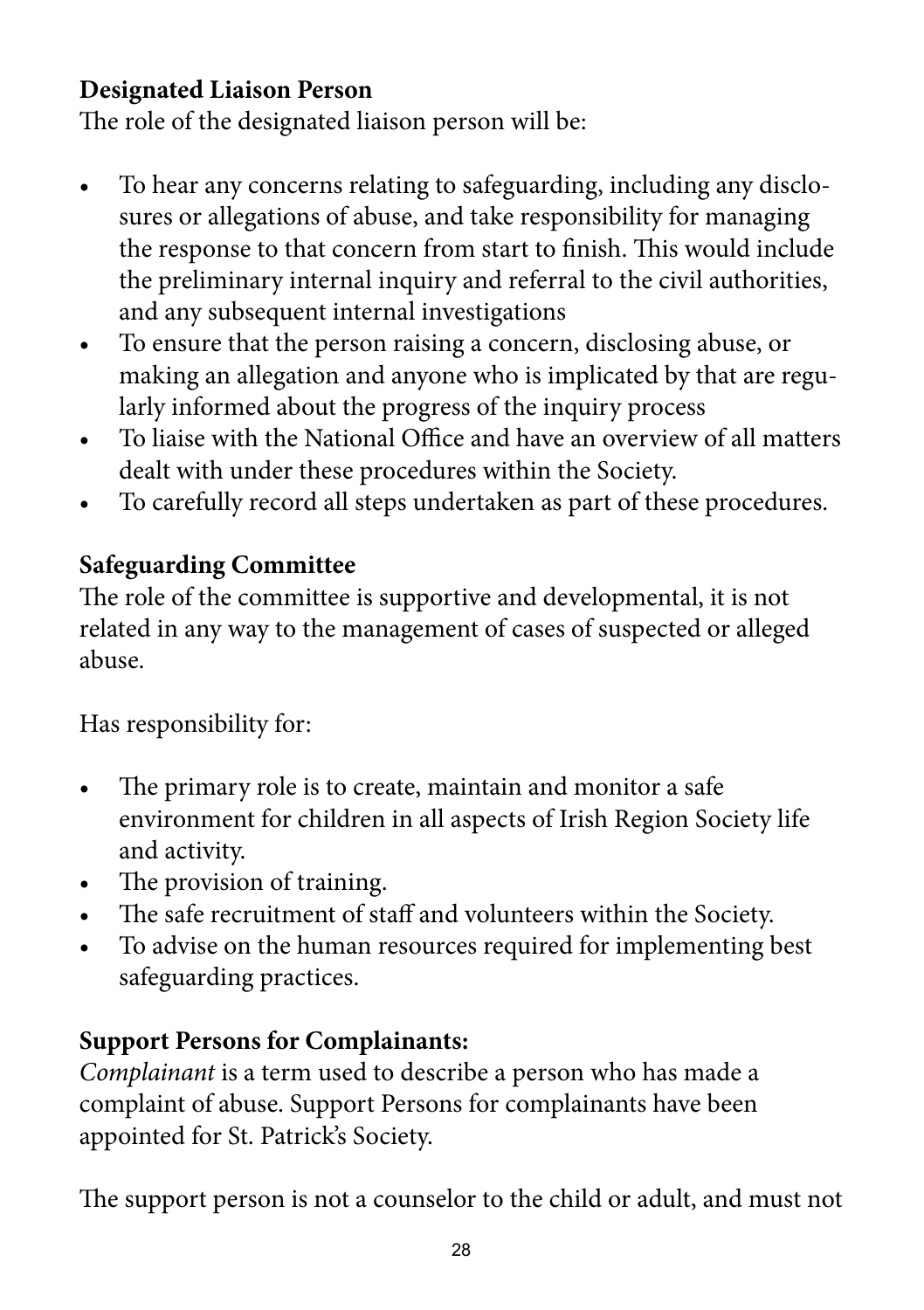### **Designated Liaison Person**

The role of the designated liaison person will be:

- To hear any concerns relating to safeguarding, including any disclosures or allegations of abuse, and take responsibility for managing the response to that concern from start to finish. This would include the preliminary internal inquiry and referral to the civil authorities, and any subsequent internal investigations
- To ensure that the person raising a concern, disclosing abuse, or making an allegation and anyone who is implicated by that are regularly informed about the progress of the inquiry process
- To liaise with the National Office and have an overview of all matters dealt with under these procedures within the Society.
- To carefully record all steps undertaken as part of these procedures.

## **Safeguarding Committee**

The role of the committee is supportive and developmental, it is not related in any way to the management of cases of suspected or alleged abuse.

Has responsibility for:

- The primary role is to create, maintain and monitor a safe environment for children in all aspects of Irish Region Society life and activity.
- The provision of training.
- The safe recruitment of staff and volunteers within the Society.
- To advise on the human resources required for implementing best safeguarding practices.

## **Support Persons for Complainants:**

*Complainant* is a term used to describe a person who has made a complaint of abuse. Support Persons for complainants have been appointed for St. Patrick's Society.

The support person is not a counselor to the child or adult, and must not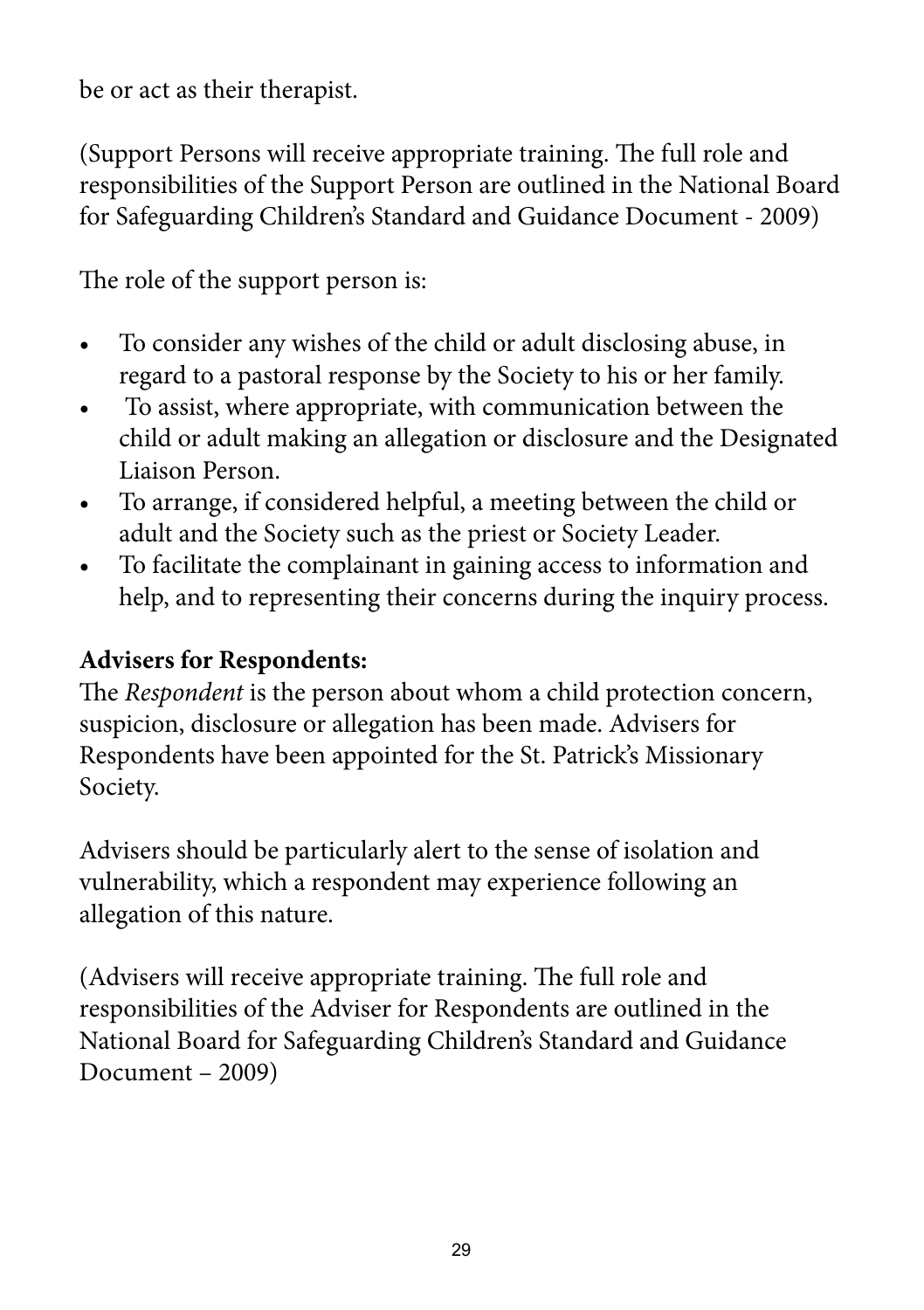be or act as their therapist.

(Support Persons will receive appropriate training. The full role and responsibilities of the Support Person are outlined in the National Board for Safeguarding Children's Standard and Guidance Document - 2009)

The role of the support person is:

- To consider any wishes of the child or adult disclosing abuse, in regard to a pastoral response by the Society to his or her family.
- To assist, where appropriate, with communication between the child or adult making an allegation or disclosure and the Designated Liaison Person.
- To arrange, if considered helpful, a meeting between the child or adult and the Society such as the priest or Society Leader.
- To facilitate the complainant in gaining access to information and help, and to representing their concerns during the inquiry process.

## **Advisers for Respondents:**

The *Respondent* is the person about whom a child protection concern, suspicion, disclosure or allegation has been made. Advisers for Respondents have been appointed for the St. Patrick's Missionary Society.

Advisers should be particularly alert to the sense of isolation and vulnerability, which a respondent may experience following an allegation of this nature.

(Advisers will receive appropriate training. The full role and responsibilities of the Adviser for Respondents are outlined in the National Board for Safeguarding Children's Standard and Guidance Document – 2009)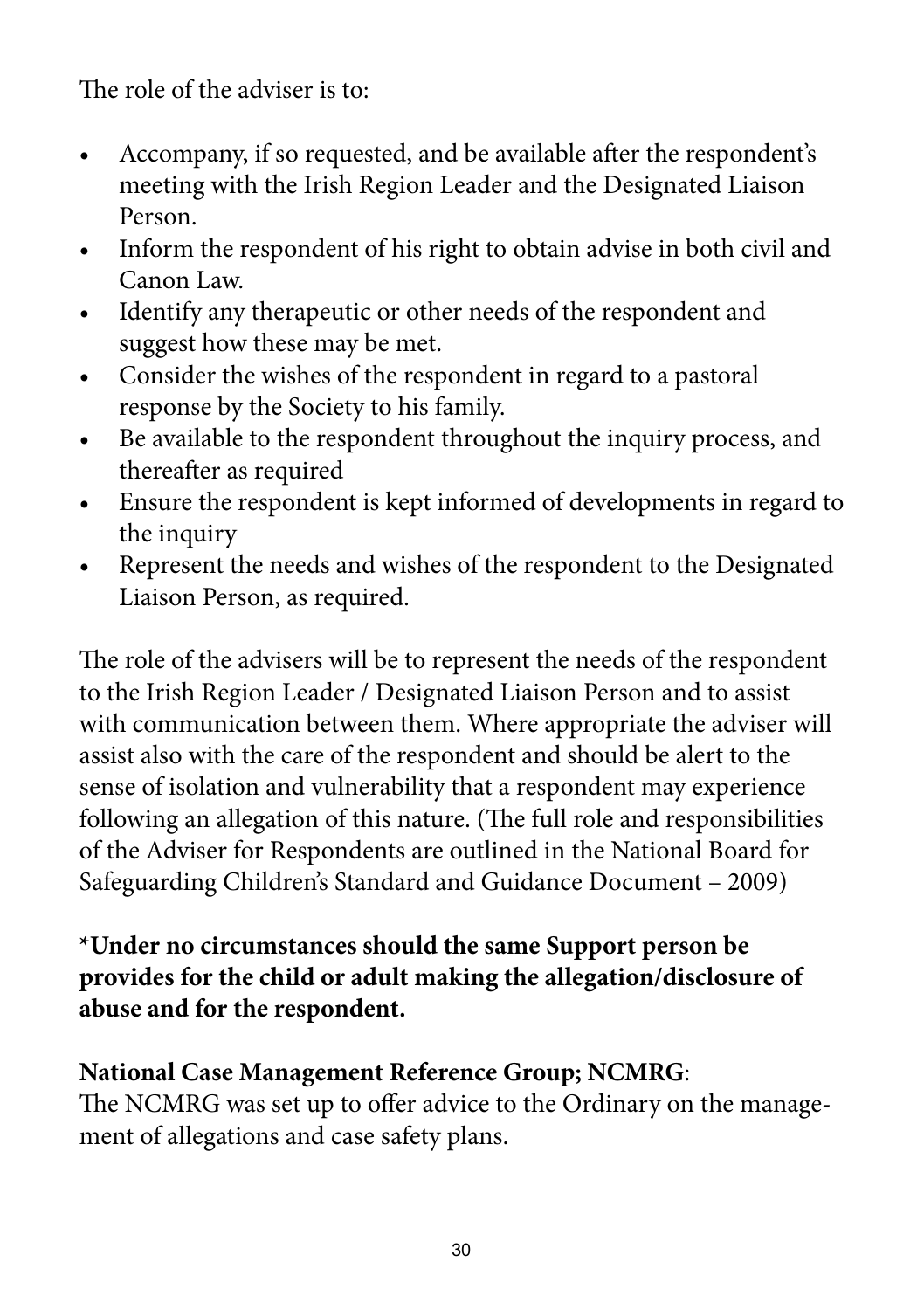The role of the adviser is to:

- Accompany, if so requested, and be available after the respondent's meeting with the Irish Region Leader and the Designated Liaison Person.
- Inform the respondent of his right to obtain advise in both civil and Canon Law.
- Identify any therapeutic or other needs of the respondent and suggest how these may be met.
- Consider the wishes of the respondent in regard to a pastoral response by the Society to his family.
- Be available to the respondent throughout the inquiry process, and thereafter as required
- Ensure the respondent is kept informed of developments in regard to the inquiry
- Represent the needs and wishes of the respondent to the Designated Liaison Person, as required.

The role of the advisers will be to represent the needs of the respondent to the Irish Region Leader / Designated Liaison Person and to assist with communication between them. Where appropriate the adviser will assist also with the care of the respondent and should be alert to the sense of isolation and vulnerability that a respondent may experience following an allegation of this nature. (The full role and responsibilities of the Adviser for Respondents are outlined in the National Board for Safeguarding Children's Standard and Guidance Document – 2009)

**\*Under no circumstances should the same Support person be provides for the child or adult making the allegation/disclosure of abuse and for the respondent.**

## **National Case Management Reference Group; NCMRG**:

The NCMRG was set up to offer advice to the Ordinary on the management of allegations and case safety plans.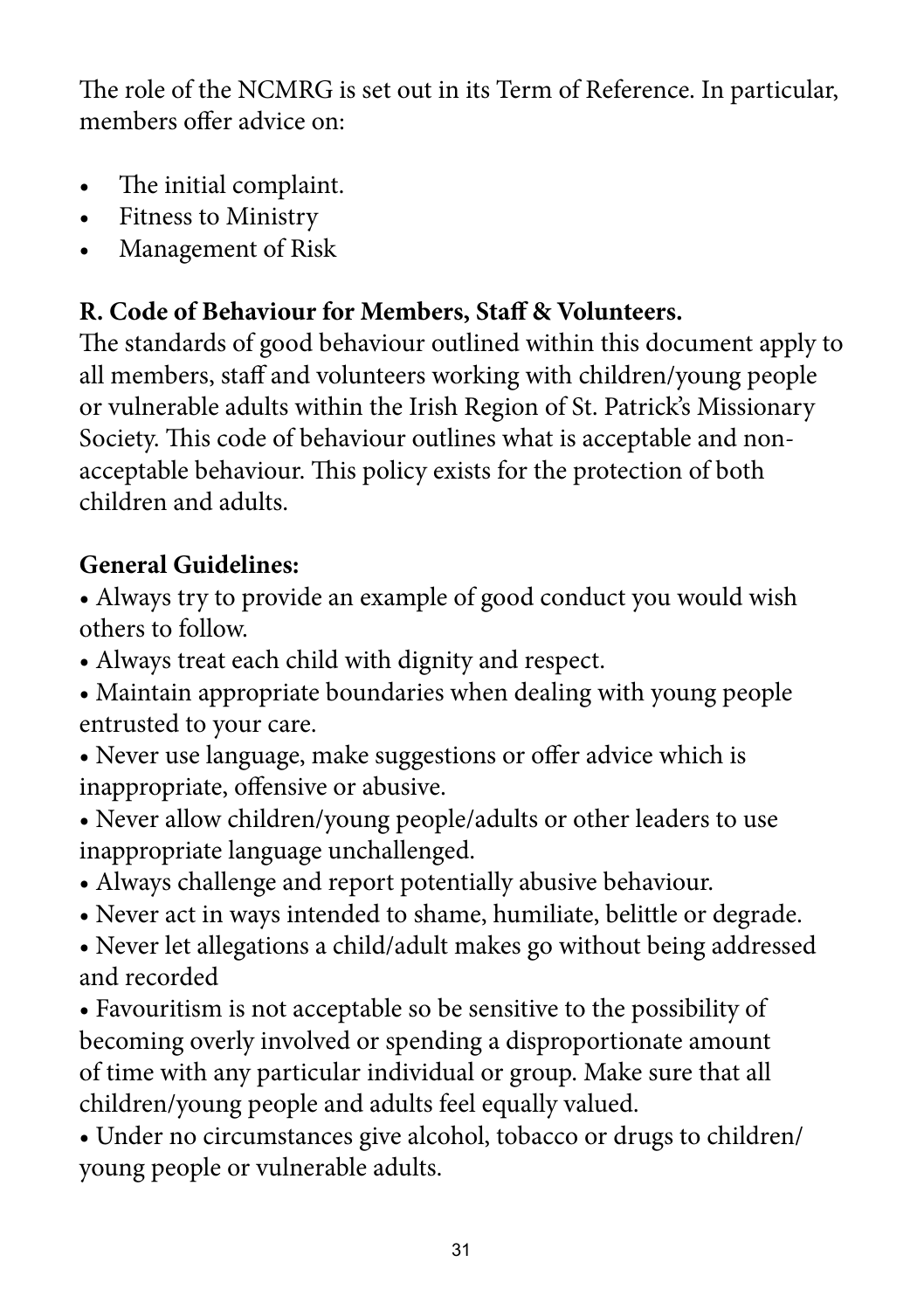The role of the NCMRG is set out in its Term of Reference. In particular, members offer advice on:

- The initial complaint.
- Fitness to Ministry
- Management of Risk

## **R. Code of Behaviour for Members, Staff & Volunteers.**

The standards of good behaviour outlined within this document apply to all members, staff and volunteers working with children/young people or vulnerable adults within the Irish Region of St. Patrick's Missionary Society. This code of behaviour outlines what is acceptable and nonacceptable behaviour. This policy exists for the protection of both children and adults.

## **General Guidelines:**

• Always try to provide an example of good conduct you would wish others to follow.

• Always treat each child with dignity and respect.

• Maintain appropriate boundaries when dealing with young people entrusted to your care.

• Never use language, make suggestions or offer advice which is inappropriate, offensive or abusive.

• Never allow children/young people/adults or other leaders to use inappropriate language unchallenged.

- Always challenge and report potentially abusive behaviour.
- Never act in ways intended to shame, humiliate, belittle or degrade.

• Never let allegations a child/adult makes go without being addressed and recorded

• Favouritism is not acceptable so be sensitive to the possibility of becoming overly involved or spending a disproportionate amount of time with any particular individual or group. Make sure that all children/young people and adults feel equally valued.

• Under no circumstances give alcohol, tobacco or drugs to children/ young people or vulnerable adults.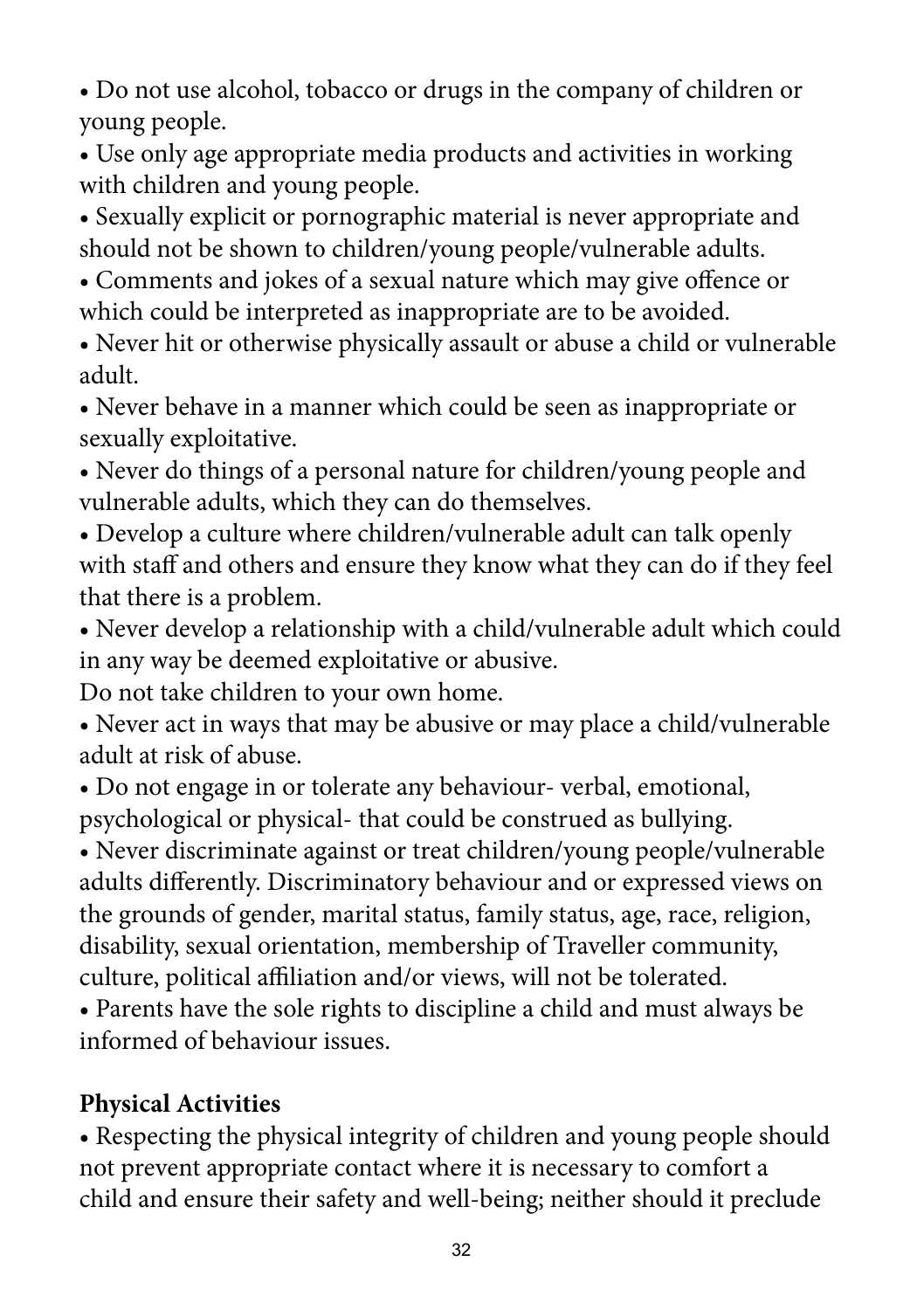• Do not use alcohol, tobacco or drugs in the company of children or young people.

• Use only age appropriate media products and activities in working with children and young people.

• Sexually explicit or pornographic material is never appropriate and should not be shown to children/young people/vulnerable adults.

• Comments and jokes of a sexual nature which may give offence or which could be interpreted as inappropriate are to be avoided.

• Never hit or otherwise physically assault or abuse a child or vulnerable adult.

• Never behave in a manner which could be seen as inappropriate or sexually exploitative.

• Never do things of a personal nature for children/young people and vulnerable adults, which they can do themselves.

• Develop a culture where children/vulnerable adult can talk openly with staff and others and ensure they know what they can do if they feel that there is a problem.

• Never develop a relationship with a child/vulnerable adult which could in any way be deemed exploitative or abusive.

Do not take children to your own home.

• Never act in ways that may be abusive or may place a child/vulnerable adult at risk of abuse.

• Do not engage in or tolerate any behaviour- verbal, emotional, psychological or physical- that could be construed as bullying.

• Never discriminate against or treat children/young people/vulnerable adults differently. Discriminatory behaviour and or expressed views on the grounds of gender, marital status, family status, age, race, religion, disability, sexual orientation, membership of Traveller community, culture, political affiliation and/or views, will not be tolerated.

• Parents have the sole rights to discipline a child and must always be informed of behaviour issues.

## **Physical Activities**

• Respecting the physical integrity of children and young people should not prevent appropriate contact where it is necessary to comfort a child and ensure their safety and well-being; neither should it preclude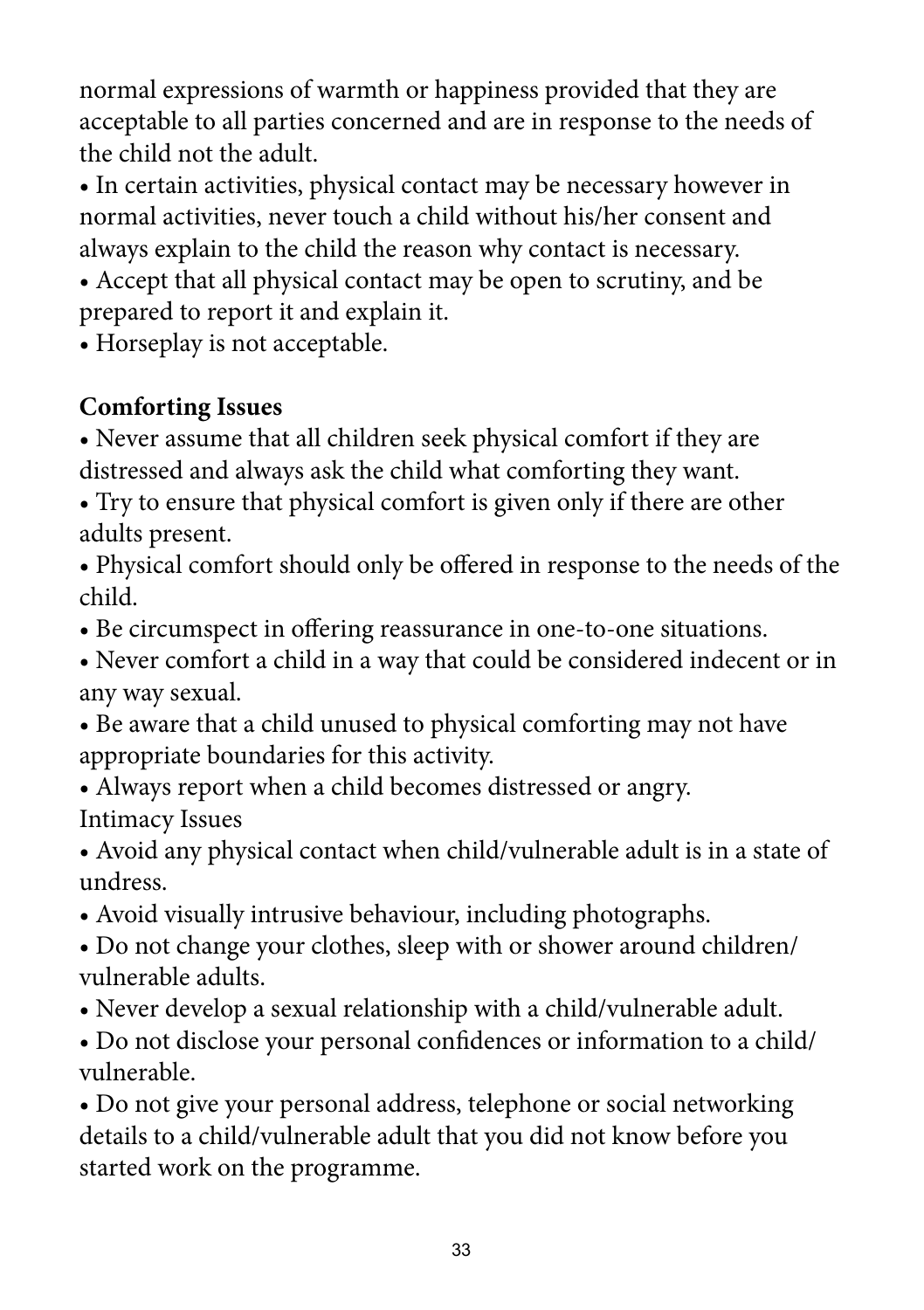normal expressions of warmth or happiness provided that they are acceptable to all parties concerned and are in response to the needs of the child not the adult.

• In certain activities, physical contact may be necessary however in normal activities, never touch a child without his/her consent and always explain to the child the reason why contact is necessary.

• Accept that all physical contact may be open to scrutiny, and be prepared to report it and explain it.

• Horseplay is not acceptable.

# **Comforting Issues**

• Never assume that all children seek physical comfort if they are distressed and always ask the child what comforting they want.

• Try to ensure that physical comfort is given only if there are other adults present.

- Physical comfort should only be offered in response to the needs of the child.
- Be circumspect in offering reassurance in one-to-one situations.
- Never comfort a child in a way that could be considered indecent or in any way sexual.
- Be aware that a child unused to physical comforting may not have appropriate boundaries for this activity.
- Always report when a child becomes distressed or angry. Intimacy Issues
- Avoid any physical contact when child/vulnerable adult is in a state of undress.
- Avoid visually intrusive behaviour, including photographs.
- Do not change your clothes, sleep with or shower around children/ vulnerable adults.
- Never develop a sexual relationship with a child/vulnerable adult.
- Do not disclose your personal confidences or information to a child/ vulnerable.

• Do not give your personal address, telephone or social networking details to a child/vulnerable adult that you did not know before you started work on the programme.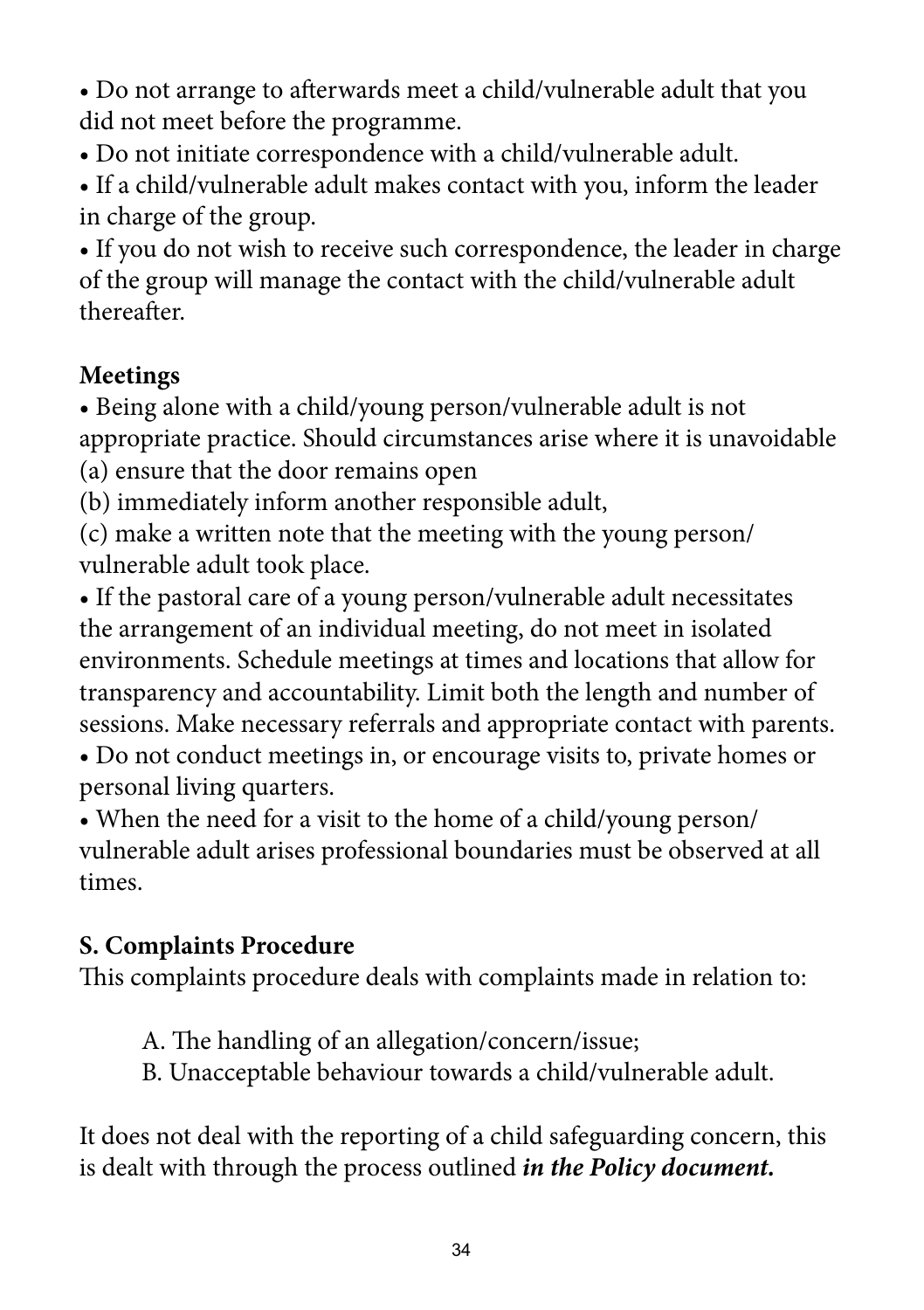• Do not arrange to afterwards meet a child/vulnerable adult that you did not meet before the programme.

• Do not initiate correspondence with a child/vulnerable adult.

• If a child/vulnerable adult makes contact with you, inform the leader in charge of the group.

• If you do not wish to receive such correspondence, the leader in charge of the group will manage the contact with the child/vulnerable adult thereafter.

## **Meetings**

• Being alone with a child/young person/vulnerable adult is not appropriate practice. Should circumstances arise where it is unavoidable (a) ensure that the door remains open

(b) immediately inform another responsible adult,

(c) make a written note that the meeting with the young person/ vulnerable adult took place.

• If the pastoral care of a young person/vulnerable adult necessitates the arrangement of an individual meeting, do not meet in isolated environments. Schedule meetings at times and locations that allow for transparency and accountability. Limit both the length and number of sessions. Make necessary referrals and appropriate contact with parents.

• Do not conduct meetings in, or encourage visits to, private homes or personal living quarters.

• When the need for a visit to the home of a child/young person/ vulnerable adult arises professional boundaries must be observed at all times.

## **S. Complaints Procedure**

This complaints procedure deals with complaints made in relation to:

- A. The handling of an allegation/concern/issue;
- B. Unacceptable behaviour towards a child/vulnerable adult.

It does not deal with the reporting of a child safeguarding concern, this is dealt with through the process outlined *in the Policy document.*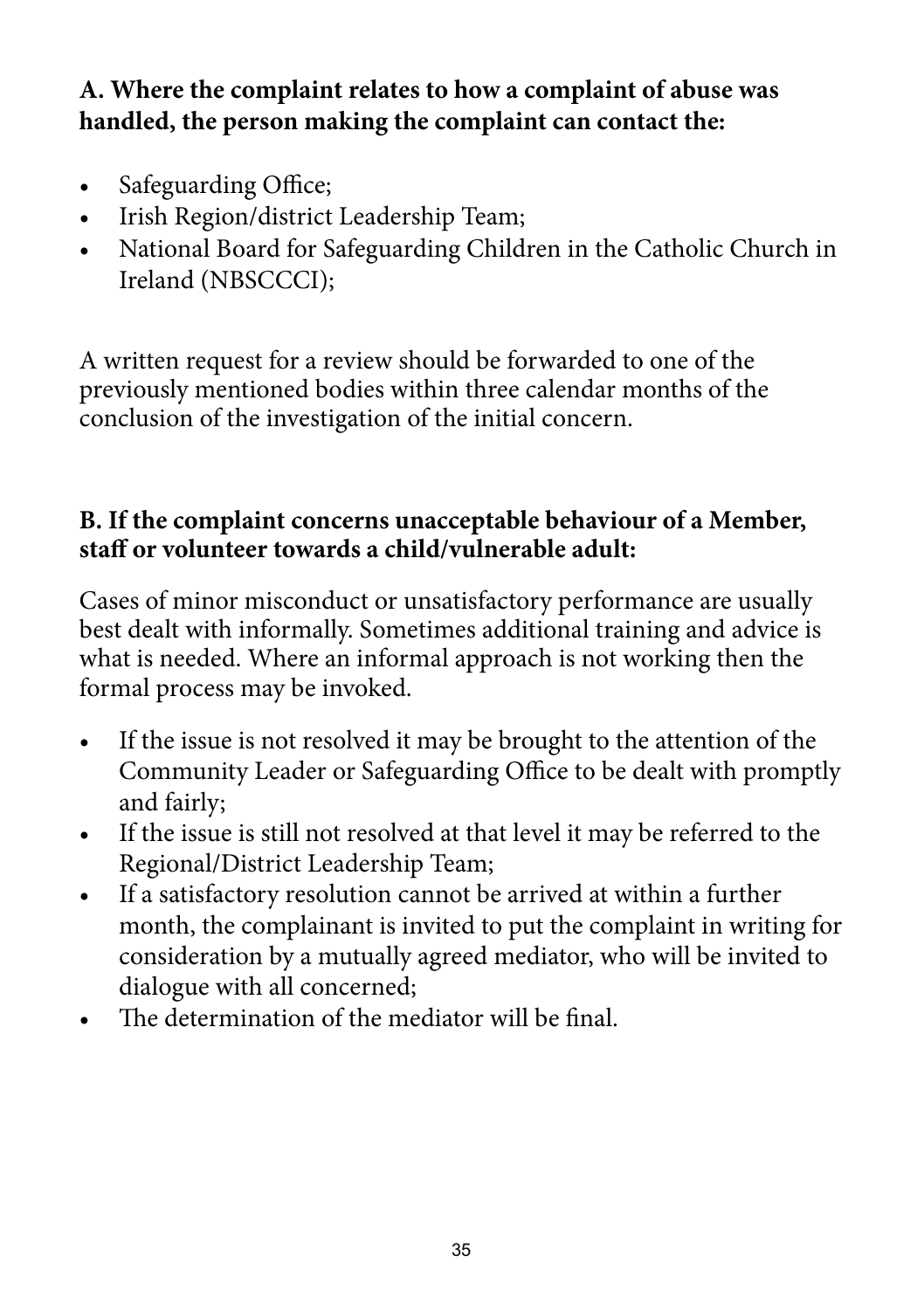## **A. Where the complaint relates to how a complaint of abuse was handled, the person making the complaint can contact the:**

- Safeguarding Office;
- Irish Region/district Leadership Team;
- National Board for Safeguarding Children in the Catholic Church in Ireland (NBSCCCI);

A written request for a review should be forwarded to one of the previously mentioned bodies within three calendar months of the conclusion of the investigation of the initial concern.

#### **B. If the complaint concerns unacceptable behaviour of a Member, staff or volunteer towards a child/vulnerable adult:**

Cases of minor misconduct or unsatisfactory performance are usually best dealt with informally. Sometimes additional training and advice is what is needed. Where an informal approach is not working then the formal process may be invoked.

- If the issue is not resolved it may be brought to the attention of the Community Leader or Safeguarding Office to be dealt with promptly and fairly;
- If the issue is still not resolved at that level it may be referred to the Regional/District Leadership Team;
- If a satisfactory resolution cannot be arrived at within a further month, the complainant is invited to put the complaint in writing for consideration by a mutually agreed mediator, who will be invited to dialogue with all concerned;
- The determination of the mediator will be final.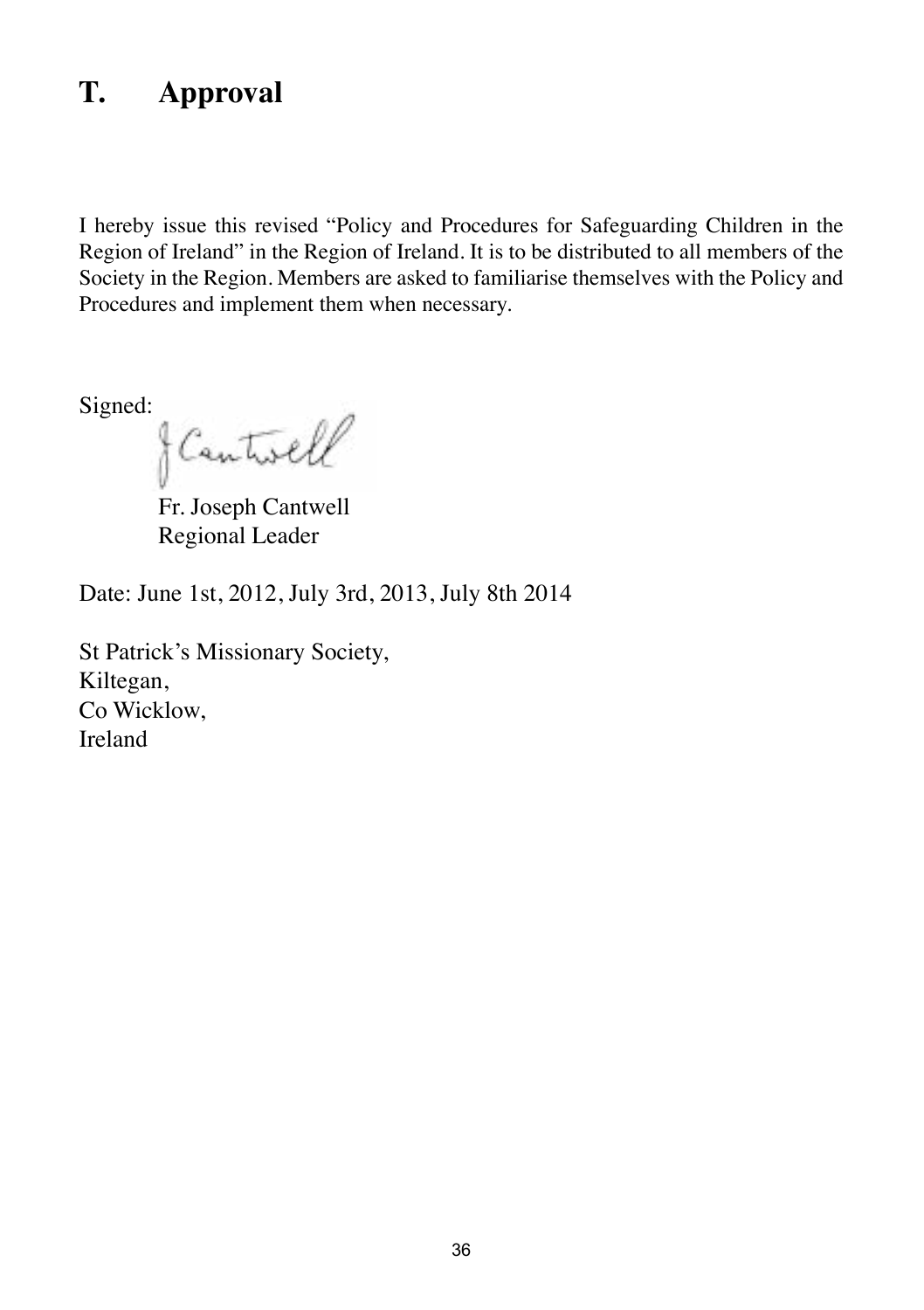# **T. Approval**

I hereby issue this revised "Policy and Procedures for Safeguarding Children in the Region of Ireland" in the Region of Ireland. It is to be distributed to all members of the Society in the Region. Members are asked to familiarise themselves with the Policy and Procedures and implement them when necessary.

Signed:

*Cantisell* 

Fr. Joseph Cantwell Regional Leader

Date: June 1st, 2012, July 3rd, 2013, July 8th 2014

St Patrick's Missionary Society, Kiltegan, Co Wicklow, Ireland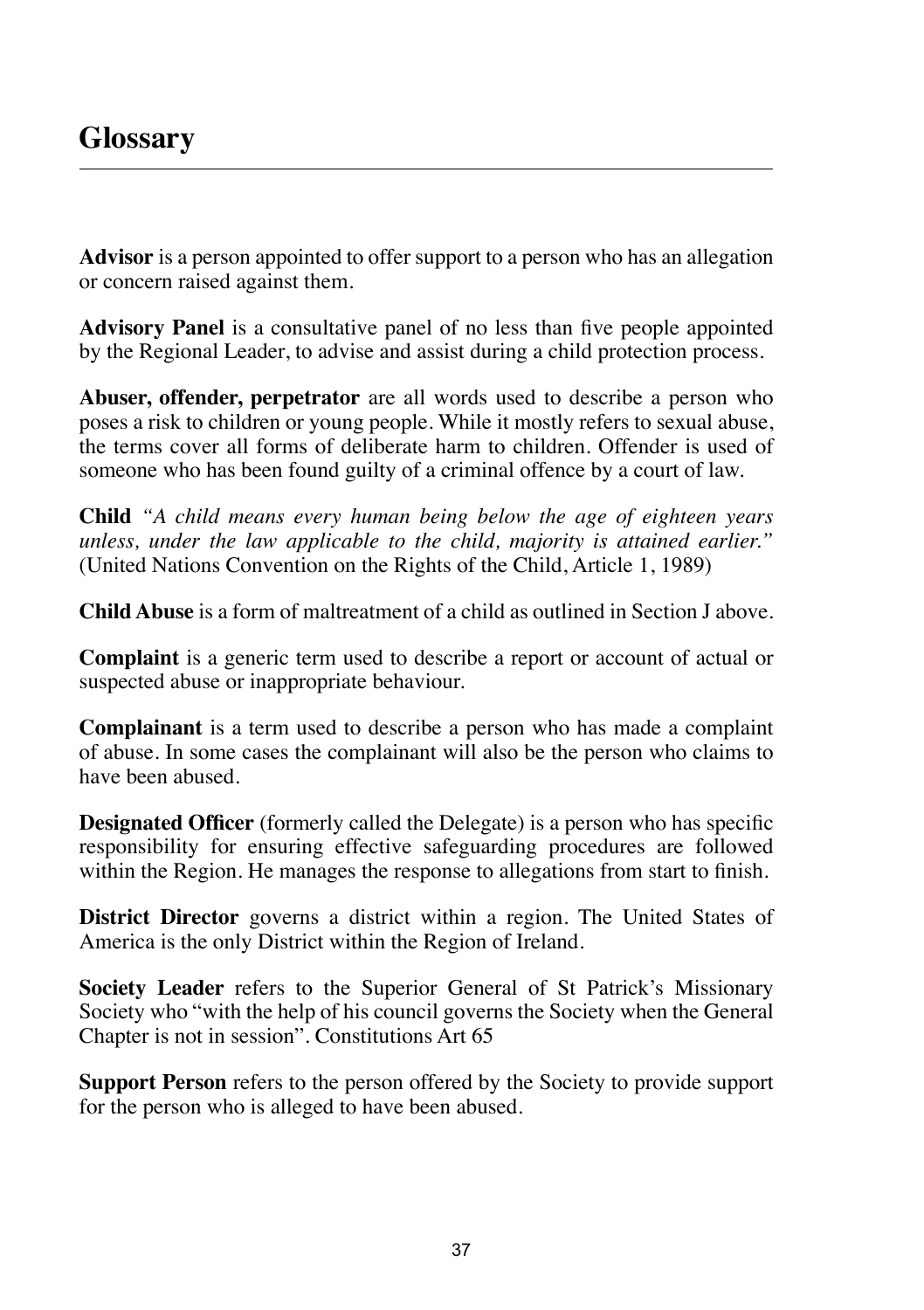**Advisor** is a person appointed to offer support to a person who has an allegation or concern raised against them.

**Advisory Panel** is a consultative panel of no less than five people appointed by the Regional Leader, to advise and assist during a child protection process.

**Abuser, offender, perpetrator** are all words used to describe a person who poses a risk to children or young people. While it mostly refers to sexual abuse, the terms cover all forms of deliberate harm to children. Offender is used of someone who has been found guilty of a criminal offence by a court of law.

**Child** *"A child means every human being below the age of eighteen years unless, under the law applicable to the child, majority is attained earlier."*  (United Nations Convention on the Rights of the Child, Article 1, 1989)

**Child Abuse** is a form of maltreatment of a child as outlined in Section J above.

**Complaint** is a generic term used to describe a report or account of actual or suspected abuse or inappropriate behaviour.

**Complainant** is a term used to describe a person who has made a complaint of abuse. In some cases the complainant will also be the person who claims to have been abused.

**Designated Officer** (formerly called the Delegate) is a person who has specific responsibility for ensuring effective safeguarding procedures are followed within the Region. He manages the response to allegations from start to finish.

**District Director** governs a district within a region. The United States of America is the only District within the Region of Ireland.

**Society Leader** refers to the Superior General of St Patrick's Missionary Society who "with the help of his council governs the Society when the General Chapter is not in session". Constitutions Art 65

**Support Person** refers to the person offered by the Society to provide support for the person who is alleged to have been abused.